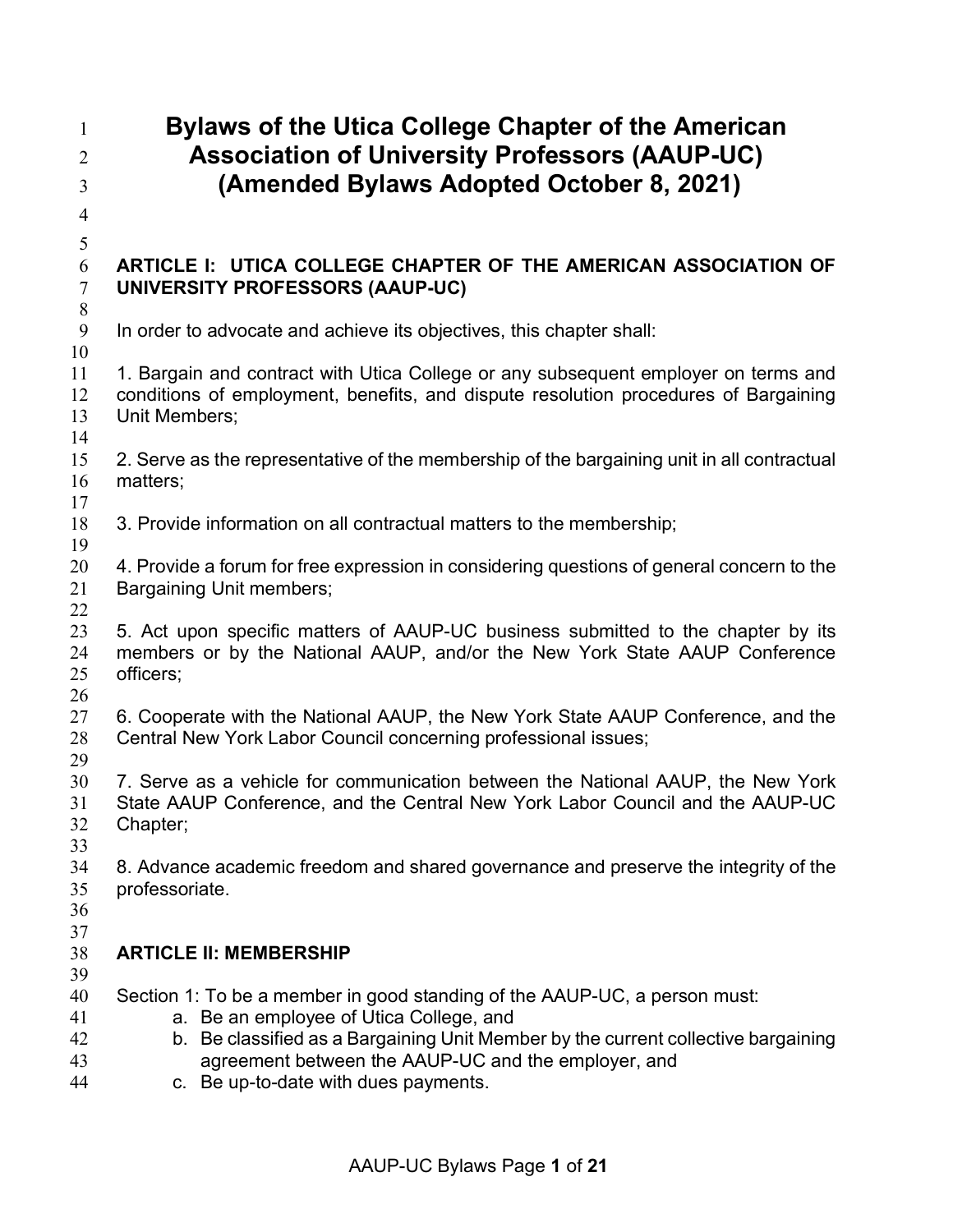| $\mathbf{1}$               | <b>Bylaws of the Utica College Chapter of the American</b>                                                                                                                                                                                                                                               |
|----------------------------|----------------------------------------------------------------------------------------------------------------------------------------------------------------------------------------------------------------------------------------------------------------------------------------------------------|
| $\overline{2}$<br>3        | <b>Association of University Professors (AAUP-UC)</b><br>(Amended Bylaws Adopted October 8, 2021)                                                                                                                                                                                                        |
| $\overline{4}$             |                                                                                                                                                                                                                                                                                                          |
| $\mathfrak s$              |                                                                                                                                                                                                                                                                                                          |
| 6<br>$\overline{7}$<br>8   | ARTICLE I: UTICA COLLEGE CHAPTER OF THE AMERICAN ASSOCIATION OF<br>UNIVERSITY PROFESSORS (AAUP-UC)                                                                                                                                                                                                       |
| 9<br>10                    | In order to advocate and achieve its objectives, this chapter shall:                                                                                                                                                                                                                                     |
| 11<br>12<br>13<br>14       | 1. Bargain and contract with Utica College or any subsequent employer on terms and<br>conditions of employment, benefits, and dispute resolution procedures of Bargaining<br>Unit Members;                                                                                                               |
| 15<br>16<br>17             | 2. Serve as the representative of the membership of the bargaining unit in all contractual<br>matters;                                                                                                                                                                                                   |
| 18<br>19                   | 3. Provide information on all contractual matters to the membership;                                                                                                                                                                                                                                     |
| 20<br>21<br>22             | 4. Provide a forum for free expression in considering questions of general concern to the<br>Bargaining Unit members;                                                                                                                                                                                    |
| 23<br>24<br>25<br>26       | 5. Act upon specific matters of AAUP-UC business submitted to the chapter by its<br>members or by the National AAUP, and/or the New York State AAUP Conference<br>officers;                                                                                                                              |
| 27<br>28<br>29             | 6. Cooperate with the National AAUP, the New York State AAUP Conference, and the<br>Central New York Labor Council concerning professional issues;                                                                                                                                                       |
| 30<br>31<br>32<br>33       | 7. Serve as a vehicle for communication between the National AAUP, the New York<br>State AAUP Conference, and the Central New York Labor Council and the AAUP-UC<br>Chapter;                                                                                                                             |
| 34<br>35<br>36<br>37       | 8. Advance academic freedom and shared governance and preserve the integrity of the<br>professoriate.                                                                                                                                                                                                    |
| 38<br>39                   | <b>ARTICLE II: MEMBERSHIP</b>                                                                                                                                                                                                                                                                            |
| 40<br>41<br>42<br>43<br>44 | Section 1: To be a member in good standing of the AAUP-UC, a person must:<br>a. Be an employee of Utica College, and<br>b. Be classified as a Bargaining Unit Member by the current collective bargaining<br>agreement between the AAUP-UC and the employer, and<br>c. Be up-to-date with dues payments. |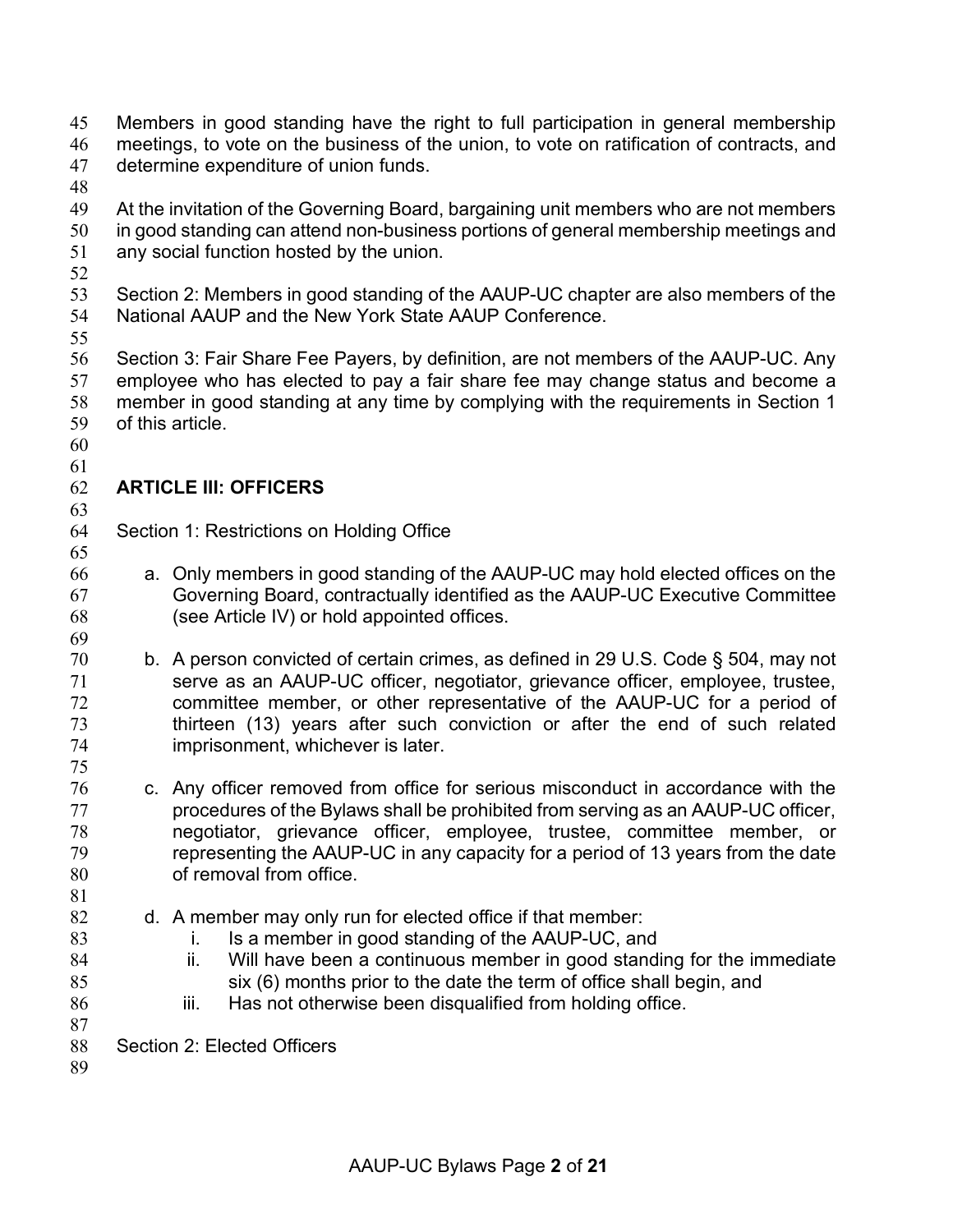- Members in good standing have the right to full participation in general membership meetings, to vote on the business of the union, to vote on ratification of contracts, and
- determine expenditure of union funds.
- 
- At the invitation of the Governing Board, bargaining unit members who are not members in good standing can attend non-business portions of general membership meetings and any social function hosted by the union.
- 
- Section 2: Members in good standing of the AAUP-UC chapter are also members of the National AAUP and the New York State AAUP Conference.
- 

 Section 3: Fair Share Fee Payers, by definition, are not members of the AAUP-UC. Any employee who has elected to pay a fair share fee may change status and become a member in good standing at any time by complying with the requirements in Section 1 of this article.

 

### **ARTICLE III: OFFICERS**

- Section 1: Restrictions on Holding Office
- a. Only members in good standing of the AAUP-UC may hold elected offices on the Governing Board, contractually identified as the AAUP-UC Executive Committee (see Article IV) or hold appointed offices.
- b. A person convicted of certain crimes, as defined in 29 U.S. Code § 504, may not serve as an AAUP-UC officer, negotiator, grievance officer, employee, trustee, committee member, or other representative of the AAUP-UC for a period of thirteen (13) years after such conviction or after the end of such related imprisonment, whichever is later.
- c. Any officer removed from office for serious misconduct in accordance with the procedures of the Bylaws shall be prohibited from serving as an AAUP-UC officer, negotiator, grievance officer, employee, trustee, committee member, or representing the AAUP-UC in any capacity for a period of 13 years from the date of removal from office.
- d. A member may only run for elected office if that member:
- i. Is a member in good standing of the AAUP-UC, and
- ii. Will have been a continuous member in good standing for the immediate six (6) months prior to the date the term of office shall begin, and
- 86 iii. Has not otherwise been disqualified from holding office.
- Section 2: Elected Officers
-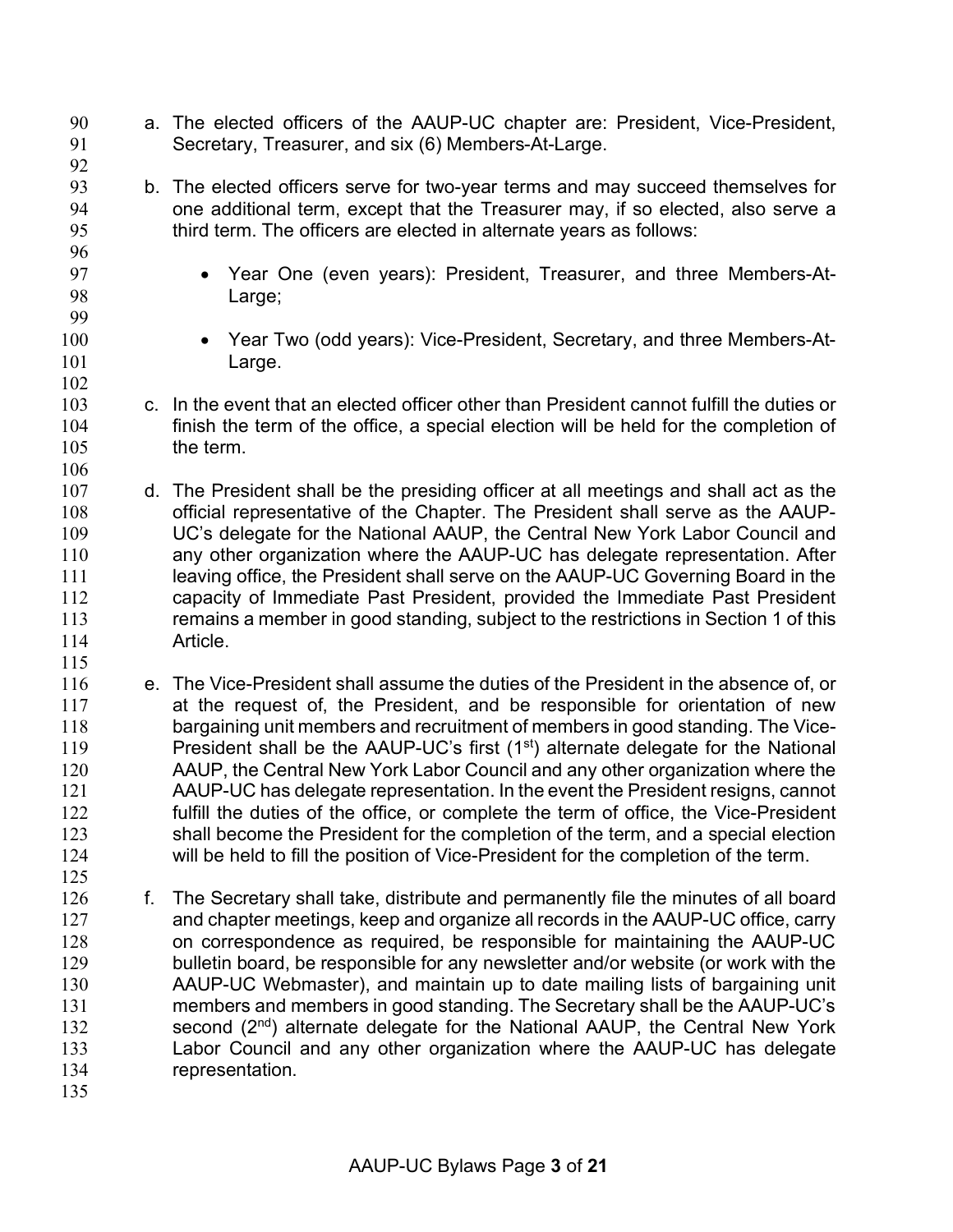- a. The elected officers of the AAUP-UC chapter are: President, Vice-President, Secretary, Treasurer, and six (6) Members-At-Large.
- b. The elected officers serve for two-year terms and may succeed themselves for one additional term, except that the Treasurer may, if so elected, also serve a 95 third term. The officers are elected in alternate years as follows:
- Year One (even years): President, Treasurer, and three Members-At-Large;
- Year Two (odd years): Vice-President, Secretary, and three Members-At-101 Large.
- c. In the event that an elected officer other than President cannot fulfill the duties or finish the term of the office, a special election will be held for the completion of the term.
- d. The President shall be the presiding officer at all meetings and shall act as the official representative of the Chapter. The President shall serve as the AAUP- UC's delegate for the National AAUP, the Central New York Labor Council and any other organization where the AAUP-UC has delegate representation. After 111 leaving office, the President shall serve on the AAUP-UC Governing Board in the capacity of Immediate Past President, provided the Immediate Past President remains a member in good standing, subject to the restrictions in Section 1 of this Article.
- e. The Vice-President shall assume the duties of the President in the absence of, or at the request of, the President, and be responsible for orientation of new bargaining unit members and recruitment of members in good standing. The Vice-119 President shall be the AAUP-UC's first  $(1<sup>st</sup>)$  alternate delegate for the National AAUP, the Central New York Labor Council and any other organization where the AAUP-UC has delegate representation. In the event the President resigns, cannot fulfill the duties of the office, or complete the term of office, the Vice-President shall become the President for the completion of the term, and a special election will be held to fill the position of Vice-President for the completion of the term.
- f. The Secretary shall take, distribute and permanently file the minutes of all board and chapter meetings, keep and organize all records in the AAUP-UC office, carry on correspondence as required, be responsible for maintaining the AAUP-UC bulletin board, be responsible for any newsletter and/or website (or work with the AAUP-UC Webmaster), and maintain up to date mailing lists of bargaining unit members and members in good standing. The Secretary shall be the AAUP-UC's 132 second  $(2<sup>nd</sup>)$  alternate delegate for the National AAUP, the Central New York Labor Council and any other organization where the AAUP-UC has delegate representation.
-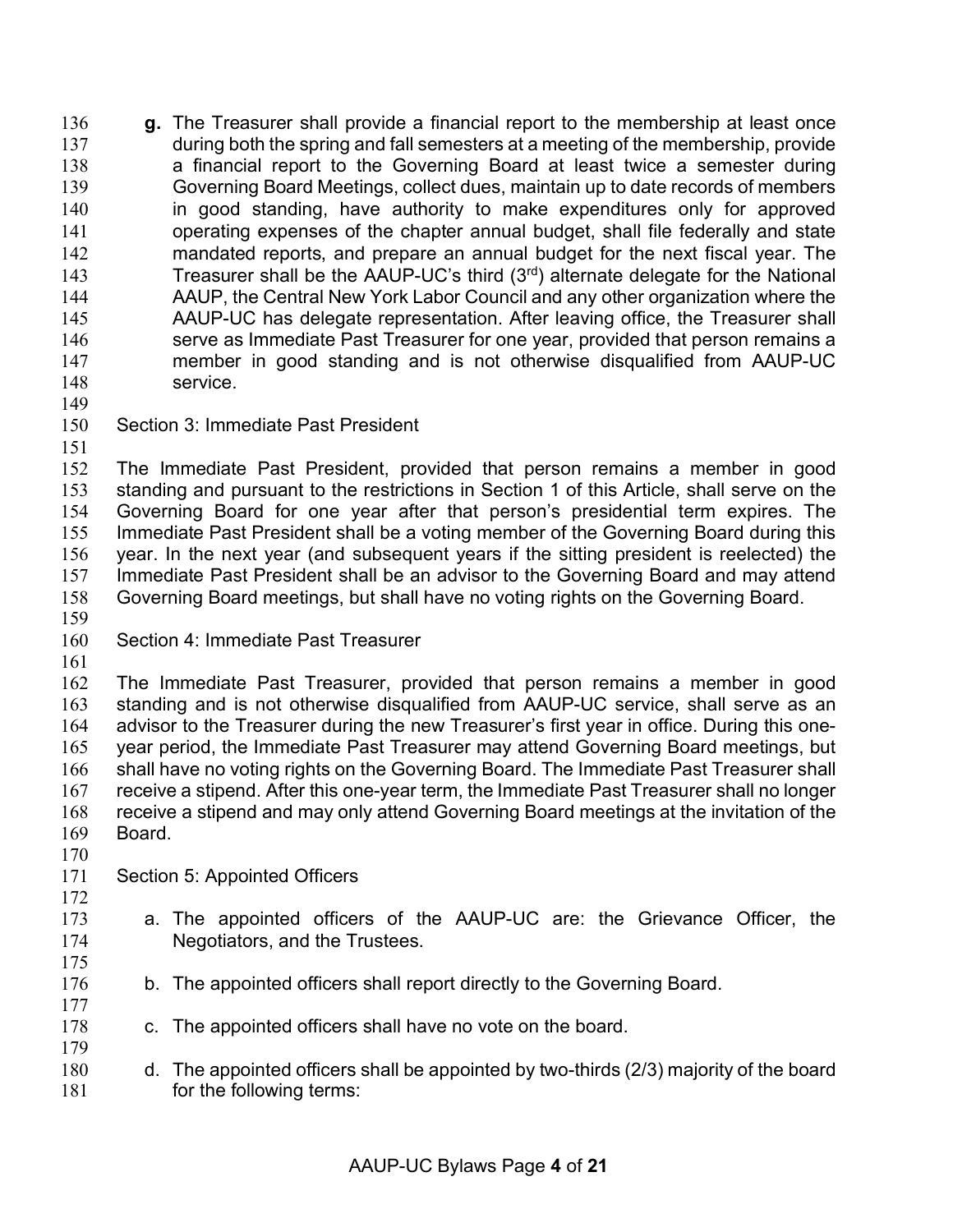**g.** The Treasurer shall provide a financial report to the membership at least once during both the spring and fall semesters at a meeting of the membership, provide 138 a financial report to the Governing Board at least twice a semester during Governing Board Meetings, collect dues, maintain up to date records of members in good standing, have authority to make expenditures only for approved operating expenses of the chapter annual budget, shall file federally and state mandated reports, and prepare an annual budget for the next fiscal year. The 143 Treasurer shall be the AAUP-UC's third  $(3<sup>rd</sup>)$  alternate delegate for the National AAUP, the Central New York Labor Council and any other organization where the AAUP-UC has delegate representation. After leaving office, the Treasurer shall 146 serve as Immediate Past Treasurer for one year, provided that person remains a member in good standing and is not otherwise disqualified from AAUP-UC service. 

Section 3: Immediate Past President

 The Immediate Past President, provided that person remains a member in good standing and pursuant to the restrictions in Section 1 of this Article, shall serve on the Governing Board for one year after that person's presidential term expires. The Immediate Past President shall be a voting member of the Governing Board during this year. In the next year (and subsequent years if the sitting president is reelected) the Immediate Past President shall be an advisor to the Governing Board and may attend Governing Board meetings, but shall have no voting rights on the Governing Board.

- Section 4: Immediate Past Treasurer
- 

 The Immediate Past Treasurer, provided that person remains a member in good standing and is not otherwise disqualified from AAUP-UC service, shall serve as an advisor to the Treasurer during the new Treasurer's first year in office. During this one- year period, the Immediate Past Treasurer may attend Governing Board meetings, but shall have no voting rights on the Governing Board. The Immediate Past Treasurer shall receive a stipend. After this one-year term, the Immediate Past Treasurer shall no longer receive a stipend and may only attend Governing Board meetings at the invitation of the Board.

- 
- Section 5: Appointed Officers
- a. The appointed officers of the AAUP-UC are: the Grievance Officer, the Negotiators, and the Trustees.
- 

- 176 b. The appointed officers shall report directly to the Governing Board.
- c. The appointed officers shall have no vote on the board.
- d. The appointed officers shall be appointed by two-thirds (2/3) majority of the board **for the following terms:**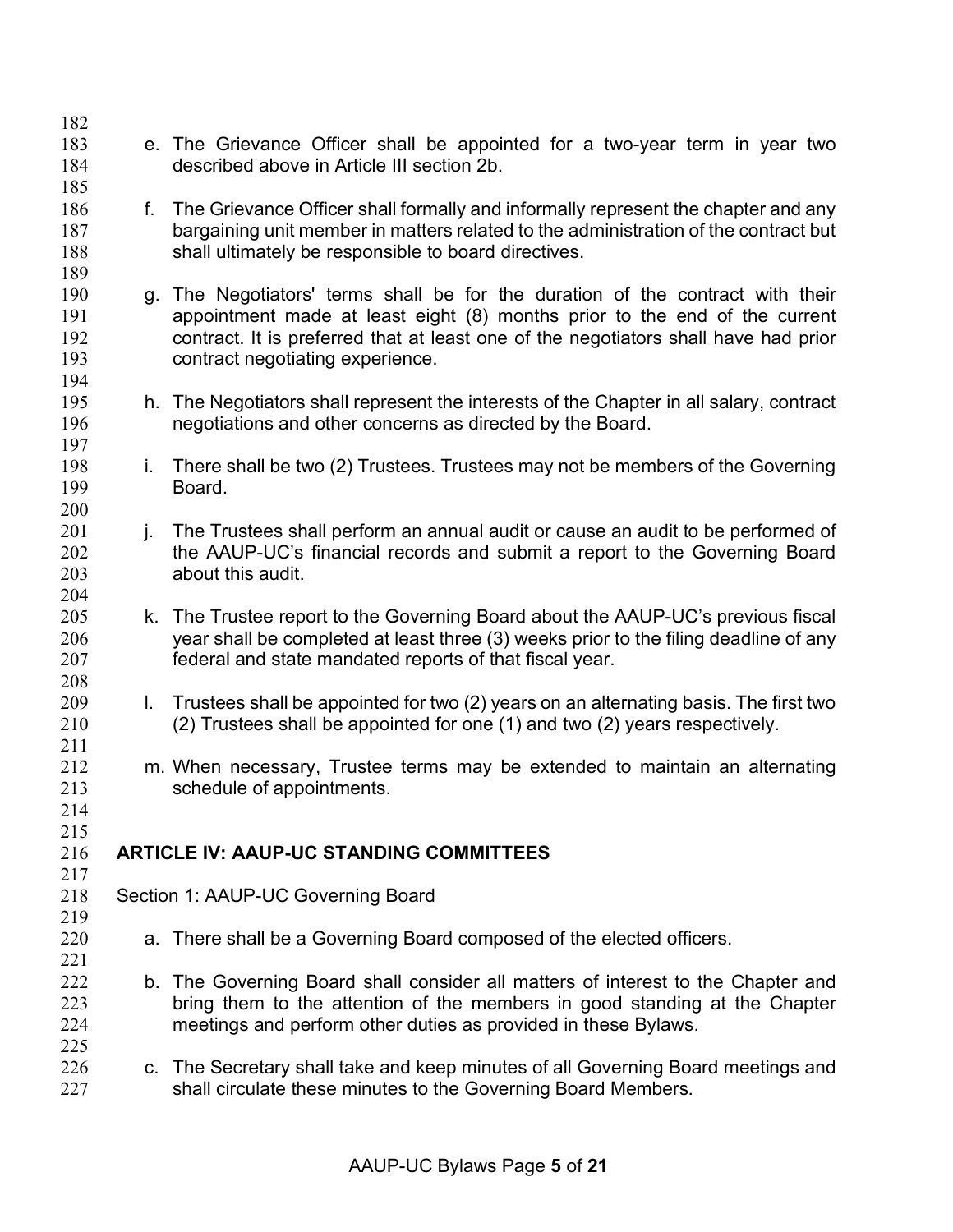- e. The Grievance Officer shall be appointed for a two-year term in year two described above in Article III section 2b.
- 186 f. The Grievance Officer shall formally and informally represent the chapter and any bargaining unit member in matters related to the administration of the contract but shall ultimately be responsible to board directives.
- g. The Negotiators' terms shall be for the duration of the contract with their appointment made at least eight (8) months prior to the end of the current contract. It is preferred that at least one of the negotiators shall have had prior contract negotiating experience.
- h. The Negotiators shall represent the interests of the Chapter in all salary, contract negotiations and other concerns as directed by the Board.
- i. There shall be two (2) Trustees. Trustees may not be members of the Governing Board.
- 201 j. The Trustees shall perform an annual audit or cause an audit to be performed of 202 the AAUP-UC's financial records and submit a report to the Governing Board about this audit.
- k. The Trustee report to the Governing Board about the AAUP-UC's previous fiscal year shall be completed at least three (3) weeks prior to the filing deadline of any federal and state mandated reports of that fiscal year.
- l. Trustees shall be appointed for two (2) years on an alternating basis. The first two (2) Trustees shall be appointed for one (1) and two (2) years respectively.
- m. When necessary, Trustee terms may be extended to maintain an alternating schedule of appointments.
- **ARTICLE IV: AAUP-UC STANDING COMMITTEES**
- 

 

Section 1: AAUP-UC Governing Board

- a. There shall be a Governing Board composed of the elected officers.
- b. The Governing Board shall consider all matters of interest to the Chapter and bring them to the attention of the members in good standing at the Chapter meetings and perform other duties as provided in these Bylaws.
- 226 c. The Secretary shall take and keep minutes of all Governing Board meetings and shall circulate these minutes to the Governing Board Members.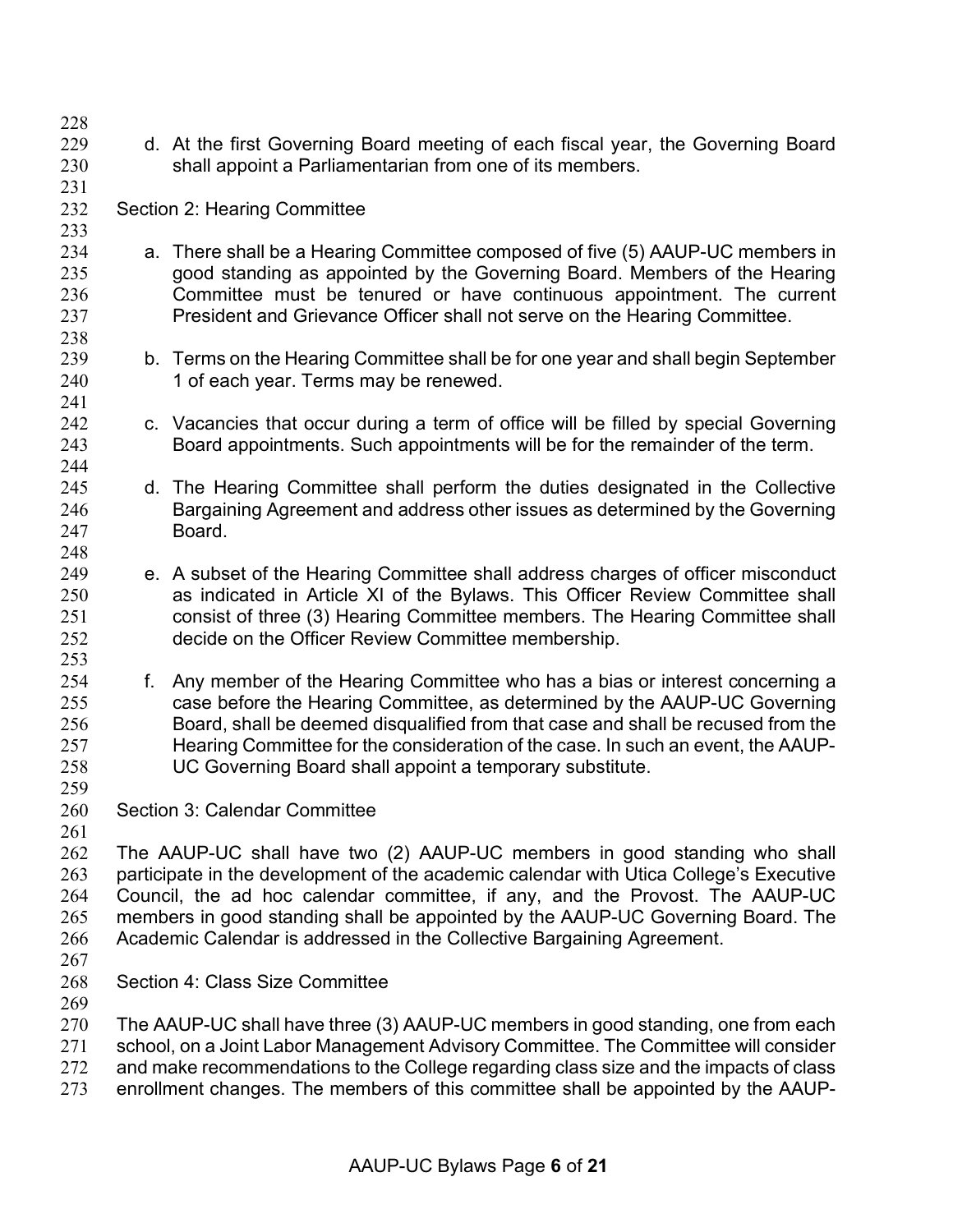d. At the first Governing Board meeting of each fiscal year, the Governing Board shall appoint a Parliamentarian from one of its members. Section 2: Hearing Committee a. There shall be a Hearing Committee composed of five (5) AAUP-UC members in good standing as appointed by the Governing Board. Members of the Hearing Committee must be tenured or have continuous appointment. The current President and Grievance Officer shall not serve on the Hearing Committee. b. Terms on the Hearing Committee shall be for one year and shall begin September 240 1 of each year. Terms may be renewed. c. Vacancies that occur during a term of office will be filled by special Governing Board appointments. Such appointments will be for the remainder of the term. d. The Hearing Committee shall perform the duties designated in the Collective Bargaining Agreement and address other issues as determined by the Governing Board. e. A subset of the Hearing Committee shall address charges of officer misconduct as indicated in Article XI of the Bylaws. This Officer Review Committee shall consist of three (3) Hearing Committee members. The Hearing Committee shall decide on the Officer Review Committee membership. f. Any member of the Hearing Committee who has a bias or interest concerning a case before the Hearing Committee, as determined by the AAUP-UC Governing Board, shall be deemed disqualified from that case and shall be recused from the Hearing Committee for the consideration of the case. In such an event, the AAUP- UC Governing Board shall appoint a temporary substitute. Section 3: Calendar Committee The AAUP-UC shall have two (2) AAUP-UC members in good standing who shall participate in the development of the academic calendar with Utica College's Executive Council, the ad hoc calendar committee, if any, and the Provost. The AAUP-UC members in good standing shall be appointed by the AAUP-UC Governing Board. The Academic Calendar is addressed in the Collective Bargaining Agreement. Section 4: Class Size Committee The AAUP-UC shall have three (3) AAUP-UC members in good standing, one from each school, on a Joint Labor Management Advisory Committee. The Committee will consider and make recommendations to the College regarding class size and the impacts of class enrollment changes. The members of this committee shall be appointed by the AAUP-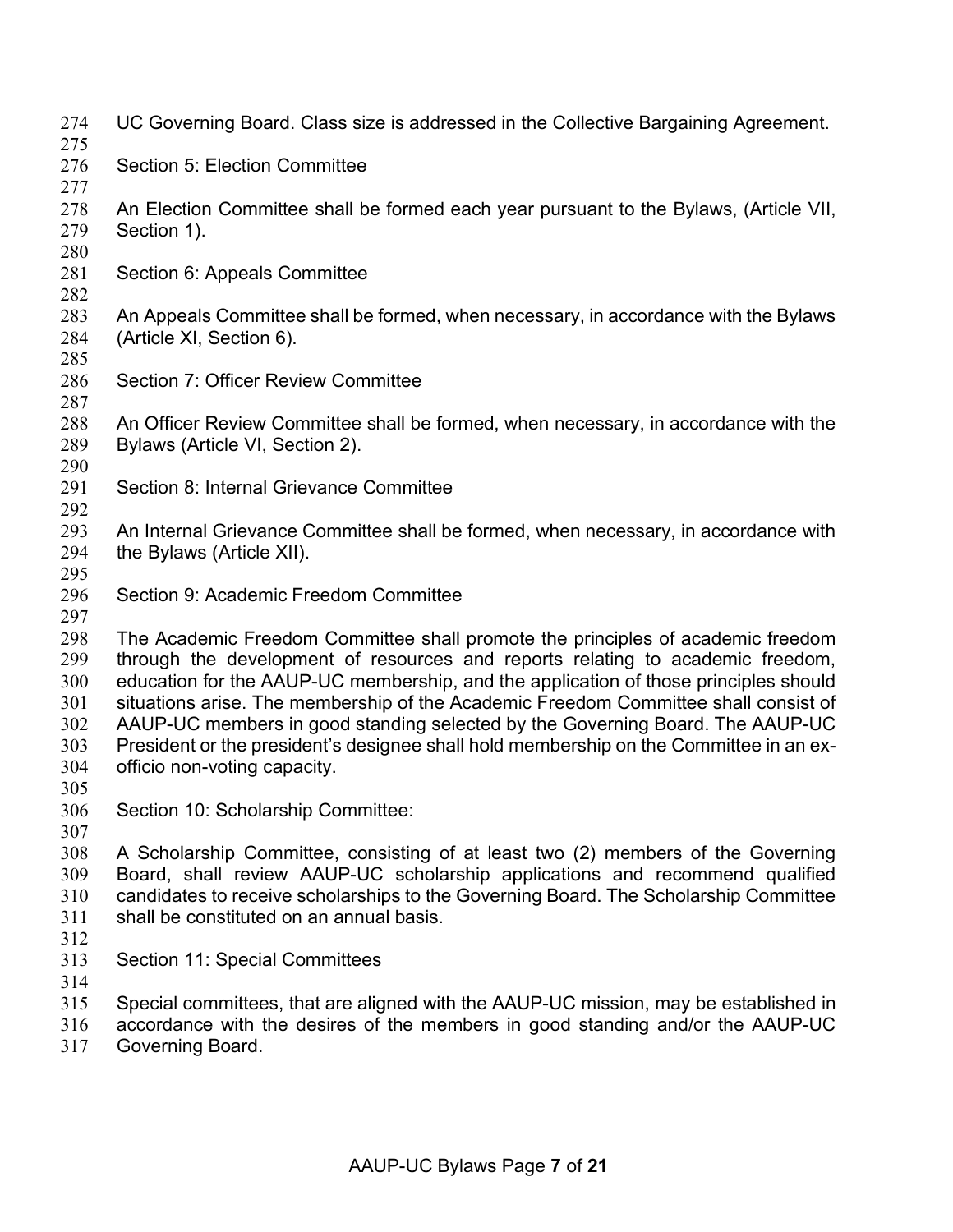- UC Governing Board. Class size is addressed in the Collective Bargaining Agreement. Section 5: Election Committee An Election Committee shall be formed each year pursuant to the Bylaws, (Article VII, Section 1). Section 6: Appeals Committee An Appeals Committee shall be formed, when necessary, in accordance with the Bylaws (Article XI, Section 6). Section 7: Officer Review Committee An Officer Review Committee shall be formed, when necessary, in accordance with the Bylaws (Article VI, Section 2). Section 8: Internal Grievance Committee 293 An Internal Grievance Committee shall be formed, when necessary, in accordance with the Bylaws (Article XII). Section 9: Academic Freedom Committee The Academic Freedom Committee shall promote the principles of academic freedom through the development of resources and reports relating to academic freedom, education for the AAUP-UC membership, and the application of those principles should situations arise. The membership of the Academic Freedom Committee shall consist of AAUP-UC members in good standing selected by the Governing Board. The AAUP-UC President or the president's designee shall hold membership on the Committee in an ex- officio non-voting capacity. Section 10: Scholarship Committee: A Scholarship Committee, consisting of at least two (2) members of the Governing Board, shall review AAUP-UC scholarship applications and recommend qualified candidates to receive scholarships to the Governing Board. The Scholarship Committee shall be constituted on an annual basis. Section 11: Special Committees Special committees, that are aligned with the AAUP-UC mission, may be established in
- accordance with the desires of the members in good standing and/or the AAUP-UC
- Governing Board.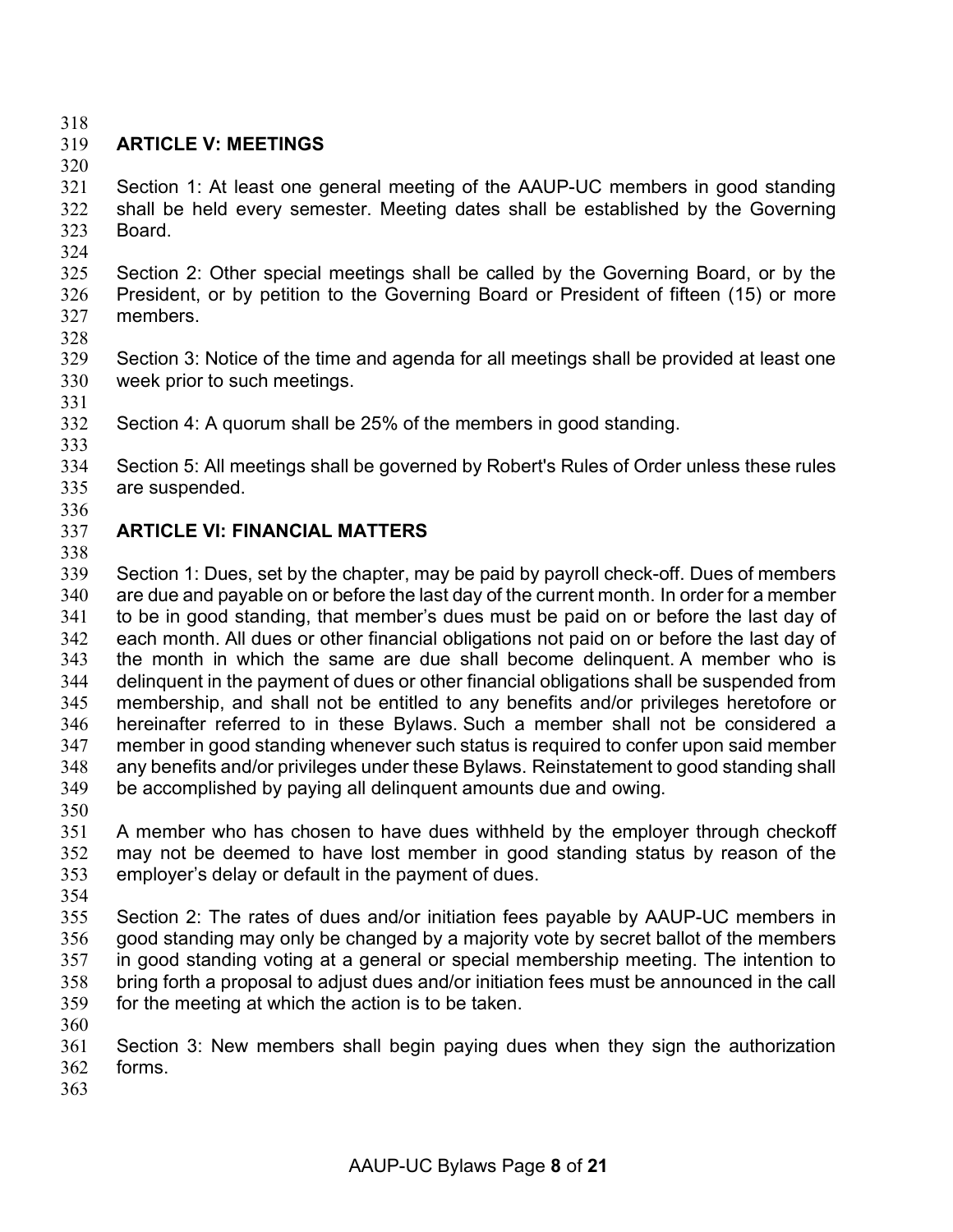# **ARTICLE V: MEETINGS**

 Section 1: At least one general meeting of the AAUP-UC members in good standing shall be held every semester. Meeting dates shall be established by the Governing Board.

 Section 2: Other special meetings shall be called by the Governing Board, or by the President, or by petition to the Governing Board or President of fifteen (15) or more members.

 Section 3: Notice of the time and agenda for all meetings shall be provided at least one week prior to such meetings. 

Section 4: A quorum shall be 25% of the members in good standing.

 Section 5: All meetings shall be governed by Robert's Rules of Order unless these rules are suspended.

## **ARTICLE VI: FINANCIAL MATTERS**

 Section 1: Dues, set by the chapter, may be paid by payroll check-off. Dues of members are due and payable on or before the last day of the current month. In order for a member to be in good standing, that member's dues must be paid on or before the last day of each month. All dues or other financial obligations not paid on or before the last day of the month in which the same are due shall become delinquent. A member who is delinquent in the payment of dues or other financial obligations shall be suspended from membership, and shall not be entitled to any benefits and/or privileges heretofore or hereinafter referred to in these Bylaws. Such a member shall not be considered a member in good standing whenever such status is required to confer upon said member any benefits and/or privileges under these Bylaws. Reinstatement to good standing shall be accomplished by paying all delinquent amounts due and owing.

 A member who has chosen to have dues withheld by the employer through checkoff may not be deemed to have lost member in good standing status by reason of the employer's delay or default in the payment of dues.

 Section 2: The rates of dues and/or initiation fees payable by AAUP-UC members in good standing may only be changed by a majority vote by secret ballot of the members in good standing voting at a general or special membership meeting. The intention to bring forth a proposal to adjust dues and/or initiation fees must be announced in the call for the meeting at which the action is to be taken. 

 Section 3: New members shall begin paying dues when they sign the authorization forms.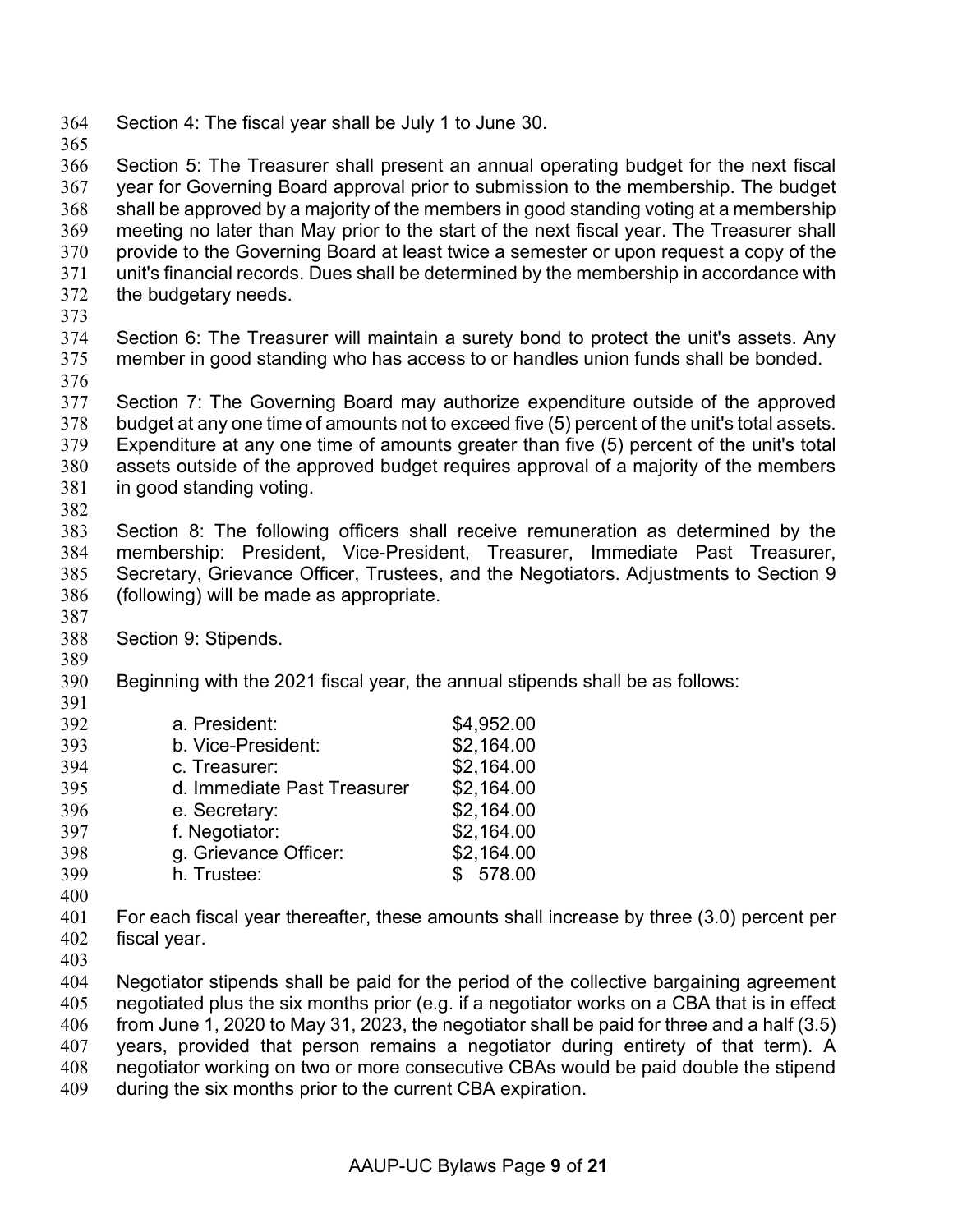- Section 4: The fiscal year shall be July 1 to June 30.
- 

 Section 5: The Treasurer shall present an annual operating budget for the next fiscal year for Governing Board approval prior to submission to the membership. The budget shall be approved by a majority of the members in good standing voting at a membership meeting no later than May prior to the start of the next fiscal year. The Treasurer shall provide to the Governing Board at least twice a semester or upon request a copy of the unit's financial records. Dues shall be determined by the membership in accordance with the budgetary needs.

- 
- Section 6: The Treasurer will maintain a surety bond to protect the unit's assets. Any member in good standing who has access to or handles union funds shall be bonded.
- 

 Section 7: The Governing Board may authorize expenditure outside of the approved budget at any one time of amounts not to exceed five (5) percent of the unit's total assets. Expenditure at any one time of amounts greater than five (5) percent of the unit's total assets outside of the approved budget requires approval of a majority of the members in good standing voting. 

 Section 8: The following officers shall receive remuneration as determined by the membership: President, Vice-President, Treasurer, Immediate Past Treasurer, Secretary, Grievance Officer, Trustees, and the Negotiators. Adjustments to Section 9 (following) will be made as appropriate.

- Section 9: Stipends.
- 

Beginning with the 2021 fiscal year, the annual stipends shall be as follows:

| 392 | a. President:               | \$4,952.00 |
|-----|-----------------------------|------------|
| 393 | b. Vice-President:          | \$2,164.00 |
| 394 | c. Treasurer:               | \$2,164.00 |
| 395 | d. Immediate Past Treasurer | \$2,164.00 |
| 396 | e. Secretary:               | \$2,164.00 |
| 397 | f. Negotiator:              | \$2,164.00 |
| 398 | g. Grievance Officer:       | \$2,164.00 |
| 399 | h. Trustee:                 | \$578.00   |
|     |                             |            |

 For each fiscal year thereafter, these amounts shall increase by three (3.0) percent per fiscal year.

 Negotiator stipends shall be paid for the period of the collective bargaining agreement negotiated plus the six months prior (e.g. if a negotiator works on a CBA that is in effect from June 1, 2020 to May 31, 2023, the negotiator shall be paid for three and a half (3.5) years, provided that person remains a negotiator during entirety of that term). A negotiator working on two or more consecutive CBAs would be paid double the stipend during the six months prior to the current CBA expiration.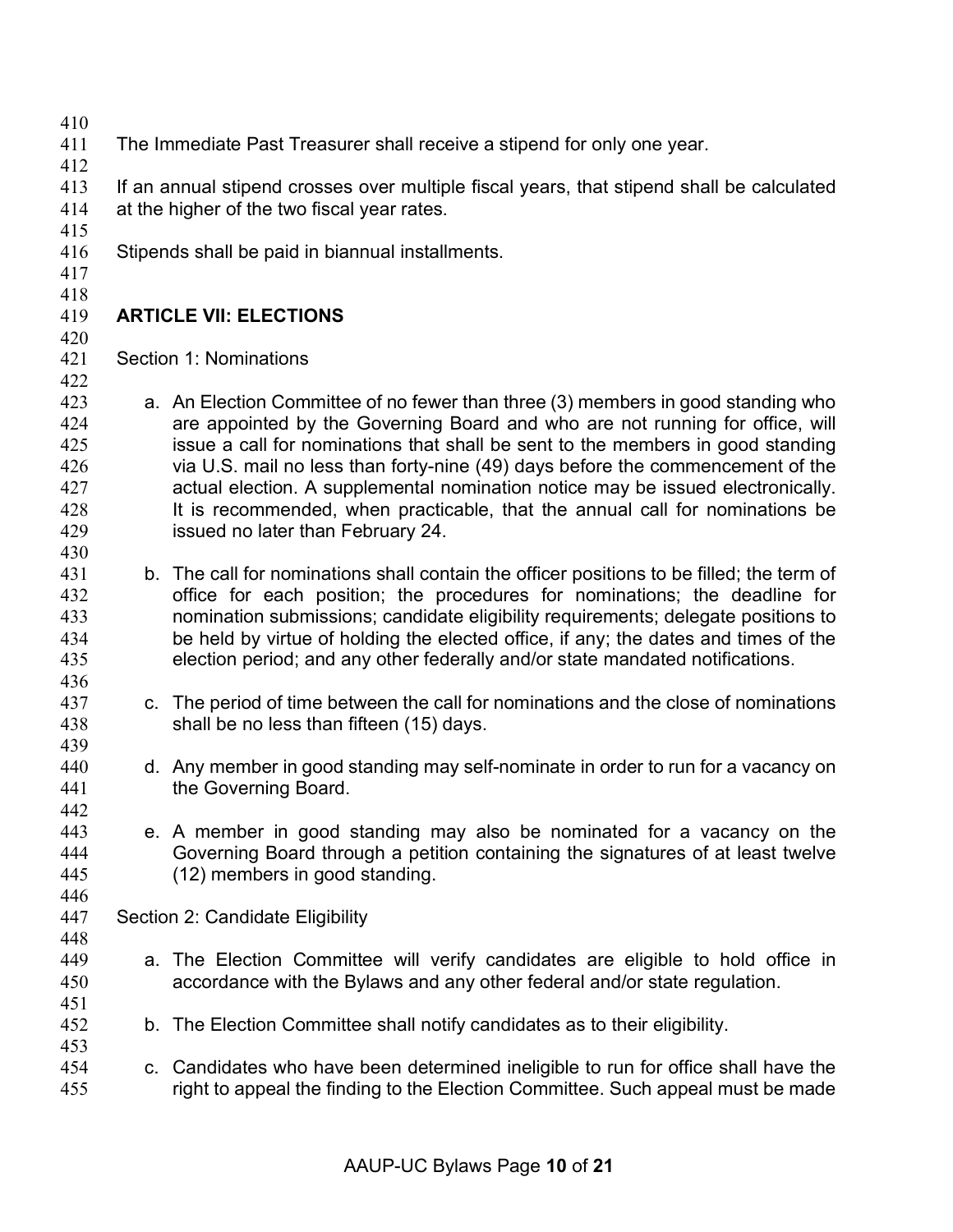- 
- The Immediate Past Treasurer shall receive a stipend for only one year.
- 

 If an annual stipend crosses over multiple fiscal years, that stipend shall be calculated at the higher of the two fiscal year rates. 

Stipends shall be paid in biannual installments.

#### 

## 

# **ARTICLE VII: ELECTIONS**

 Section 1: Nominations 

- a. An Election Committee of no fewer than three (3) members in good standing who are appointed by the Governing Board and who are not running for office, will issue a call for nominations that shall be sent to the members in good standing via U.S. mail no less than forty-nine (49) days before the commencement of the actual election. A supplemental nomination notice may be issued electronically. It is recommended, when practicable, that the annual call for nominations be issued no later than February 24.
- 431 b. The call for nominations shall contain the officer positions to be filled; the term of office for each position; the procedures for nominations; the deadline for nomination submissions; candidate eligibility requirements; delegate positions to be held by virtue of holding the elected office, if any; the dates and times of the election period; and any other federally and/or state mandated notifications.
- c. The period of time between the call for nominations and the close of nominations shall be no less than fifteen (15) days.
- d. Any member in good standing may self-nominate in order to run for a vacancy on the Governing Board.
- e. A member in good standing may also be nominated for a vacancy on the Governing Board through a petition containing the signatures of at least twelve (12) members in good standing.
- Section 2: Candidate Eligibility
- a. The Election Committee will verify candidates are eligible to hold office in accordance with the Bylaws and any other federal and/or state regulation.
- b. The Election Committee shall notify candidates as to their eligibility.
- c. Candidates who have been determined ineligible to run for office shall have the right to appeal the finding to the Election Committee. Such appeal must be made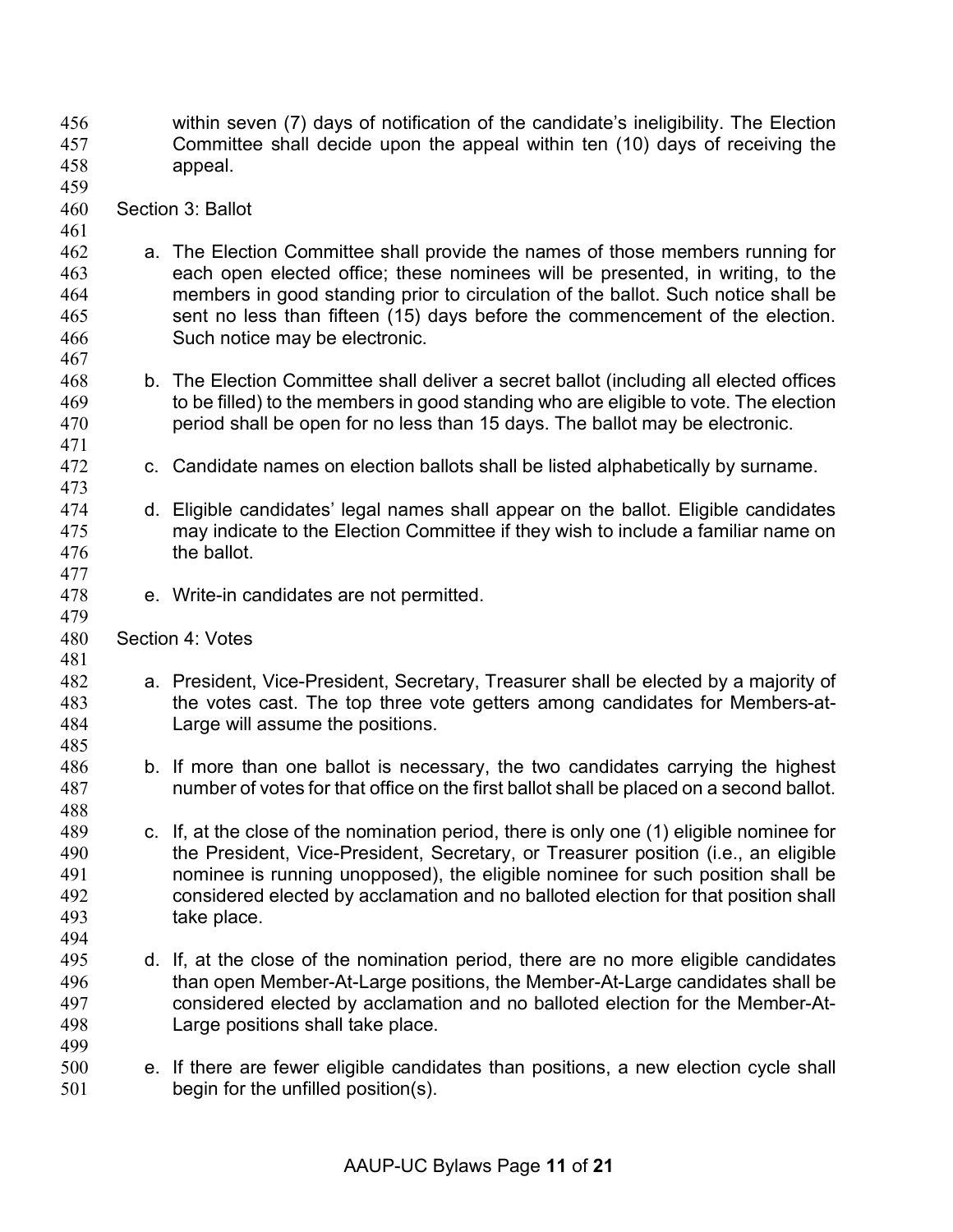within seven (7) days of notification of the candidate's ineligibility. The Election Committee shall decide upon the appeal within ten (10) days of receiving the appeal. Section 3: Ballot a. The Election Committee shall provide the names of those members running for each open elected office; these nominees will be presented, in writing, to the members in good standing prior to circulation of the ballot. Such notice shall be sent no less than fifteen (15) days before the commencement of the election. Such notice may be electronic. b. The Election Committee shall deliver a secret ballot (including all elected offices to be filled) to the members in good standing who are eligible to vote. The election period shall be open for no less than 15 days. The ballot may be electronic. c. Candidate names on election ballots shall be listed alphabetically by surname. d. Eligible candidates' legal names shall appear on the ballot. Eligible candidates may indicate to the Election Committee if they wish to include a familiar name on the ballot. e. Write-in candidates are not permitted. Section 4: Votes a. President, Vice-President, Secretary, Treasurer shall be elected by a majority of the votes cast. The top three vote getters among candidates for Members-at- Large will assume the positions. b. If more than one ballot is necessary, the two candidates carrying the highest number of votes for that office on the first ballot shall be placed on a second ballot. c. If, at the close of the nomination period, there is only one (1) eligible nominee for the President, Vice-President, Secretary, or Treasurer position (i.e., an eligible nominee is running unopposed), the eligible nominee for such position shall be considered elected by acclamation and no balloted election for that position shall take place. d. If, at the close of the nomination period, there are no more eligible candidates than open Member-At-Large positions, the Member-At-Large candidates shall be considered elected by acclamation and no balloted election for the Member-At- Large positions shall take place. e. If there are fewer eligible candidates than positions, a new election cycle shall begin for the unfilled position(s).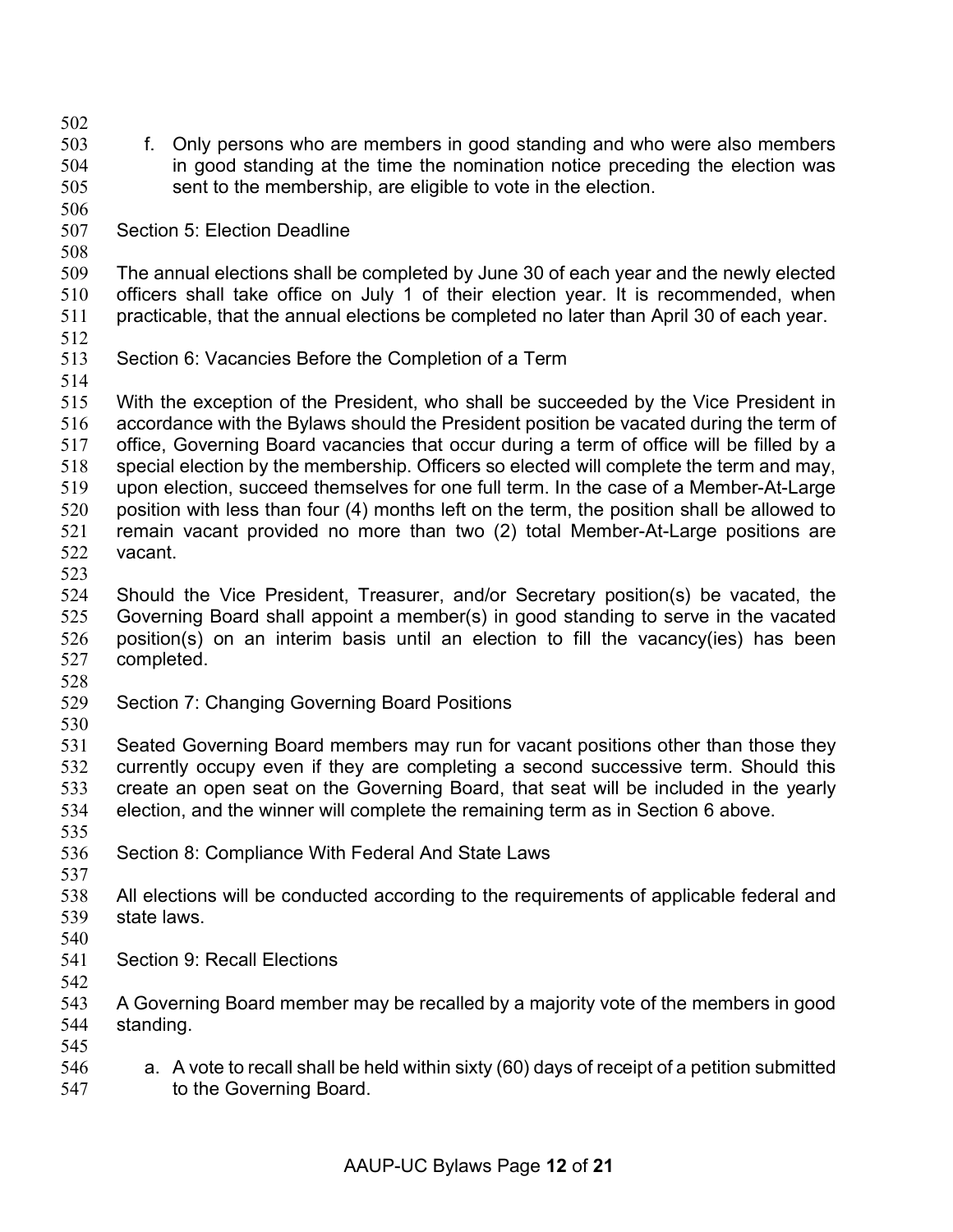- f. Only persons who are members in good standing and who were also members in good standing at the time the nomination notice preceding the election was sent to the membership, are eligible to vote in the election.
- Section 5: Election Deadline
- 

 The annual elections shall be completed by June 30 of each year and the newly elected officers shall take office on July 1 of their election year. It is recommended, when practicable, that the annual elections be completed no later than April 30 of each year.

- 
- Section 6: Vacancies Before the Completion of a Term
- 

 With the exception of the President, who shall be succeeded by the Vice President in accordance with the Bylaws should the President position be vacated during the term of office, Governing Board vacancies that occur during a term of office will be filled by a special election by the membership. Officers so elected will complete the term and may, upon election, succeed themselves for one full term. In the case of a Member-At-Large position with less than four (4) months left on the term, the position shall be allowed to remain vacant provided no more than two (2) total Member-At-Large positions are vacant.

 Should the Vice President, Treasurer, and/or Secretary position(s) be vacated, the Governing Board shall appoint a member(s) in good standing to serve in the vacated position(s) on an interim basis until an election to fill the vacancy(ies) has been completed.

- 
- Section 7: Changing Governing Board Positions
- 

 Seated Governing Board members may run for vacant positions other than those they currently occupy even if they are completing a second successive term. Should this create an open seat on the Governing Board, that seat will be included in the yearly election, and the winner will complete the remaining term as in Section 6 above.

- 
- Section 8: Compliance With Federal And State Laws
- 
- All elections will be conducted according to the requirements of applicable federal and state laws.
- 
- Section 9: Recall Elections
- 
- A Governing Board member may be recalled by a majority vote of the members in good standing.
- 546 a. A vote to recall shall be held within sixty (60) days of receipt of a petition submitted to the Governing Board.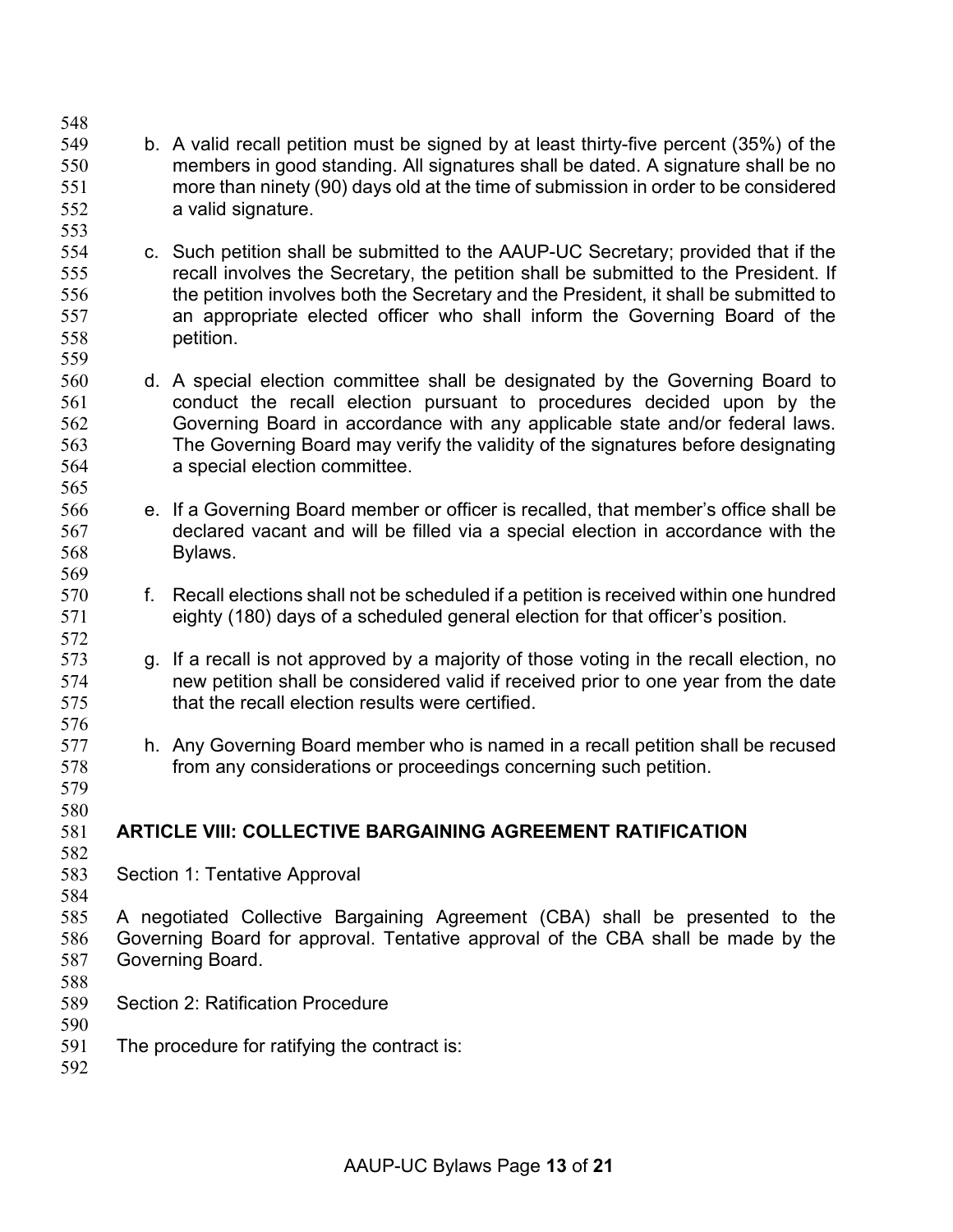- b. A valid recall petition must be signed by at least thirty-five percent (35%) of the members in good standing. All signatures shall be dated. A signature shall be no more than ninety (90) days old at the time of submission in order to be considered a valid signature.
- c. Such petition shall be submitted to the AAUP-UC Secretary; provided that if the recall involves the Secretary, the petition shall be submitted to the President. If the petition involves both the Secretary and the President, it shall be submitted to an appropriate elected officer who shall inform the Governing Board of the petition.
- d. A special election committee shall be designated by the Governing Board to conduct the recall election pursuant to procedures decided upon by the Governing Board in accordance with any applicable state and/or federal laws. The Governing Board may verify the validity of the signatures before designating a special election committee.
- e. If a Governing Board member or officer is recalled, that member's office shall be declared vacant and will be filled via a special election in accordance with the Bylaws.
- f. Recall elections shall not be scheduled if a petition is received within one hundred eighty (180) days of a scheduled general election for that officer's position.
- g. If a recall is not approved by a majority of those voting in the recall election, no new petition shall be considered valid if received prior to one year from the date that the recall election results were certified.
- h. Any Governing Board member who is named in a recall petition shall be recused from any considerations or proceedings concerning such petition.
- 

#### **ARTICLE VIII: COLLECTIVE BARGAINING AGREEMENT RATIFICATION**

- 
- Section 1: Tentative Approval
- A negotiated Collective Bargaining Agreement (CBA) shall be presented to the Governing Board for approval. Tentative approval of the CBA shall be made by the Governing Board.
- 
- Section 2: Ratification Procedure
- The procedure for ratifying the contract is:
-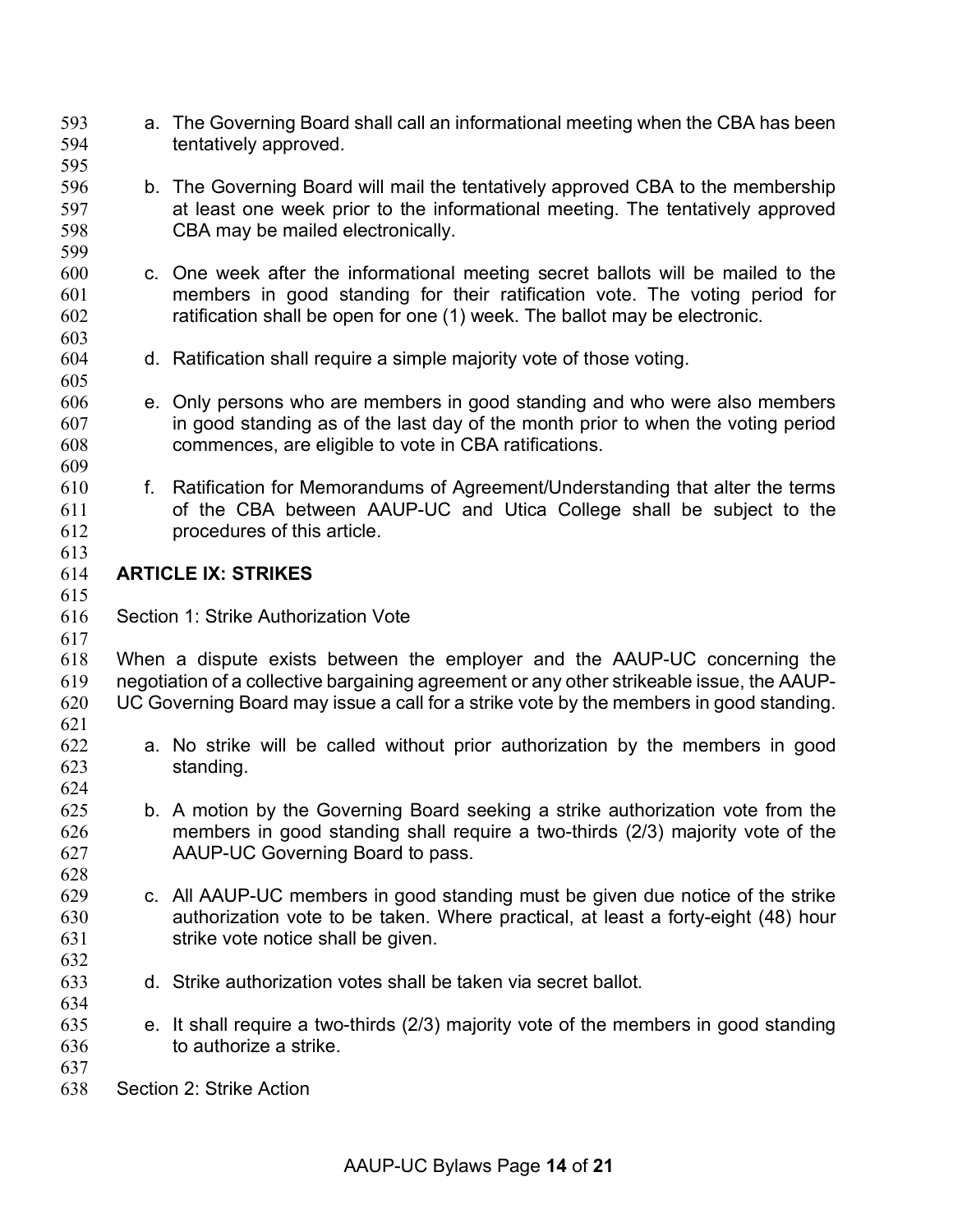- a. The Governing Board shall call an informational meeting when the CBA has been tentatively approved.
- 
- b. The Governing Board will mail the tentatively approved CBA to the membership at least one week prior to the informational meeting. The tentatively approved
- c. One week after the informational meeting secret ballots will be mailed to the members in good standing for their ratification vote. The voting period for ratification shall be open for one (1) week. The ballot may be electronic.
- d. Ratification shall require a simple majority vote of those voting.
- e. Only persons who are members in good standing and who were also members in good standing as of the last day of the month prior to when the voting period commences, are eligible to vote in CBA ratifications.
- 

- f. Ratification for Memorandums of Agreement/Understanding that alter the terms of the CBA between AAUP-UC and Utica College shall be subject to the procedures of this article.
- 

#### **ARTICLE IX: STRIKES**

Section 1: Strike Authorization Vote

CBA may be mailed electronically.

 When a dispute exists between the employer and the AAUP-UC concerning the negotiation of a collective bargaining agreement or any other strikeable issue, the AAUP- UC Governing Board may issue a call for a strike vote by the members in good standing. 

- a. No strike will be called without prior authorization by the members in good standing.
- b. A motion by the Governing Board seeking a strike authorization vote from the members in good standing shall require a two-thirds (2/3) majority vote of the AAUP-UC Governing Board to pass.
- c. All AAUP-UC members in good standing must be given due notice of the strike authorization vote to be taken. Where practical, at least a forty-eight (48) hour strike vote notice shall be given.
- d. Strike authorization votes shall be taken via secret ballot.
- e. It shall require a two-thirds (2/3) majority vote of the members in good standing to authorize a strike.
- 
- Section 2: Strike Action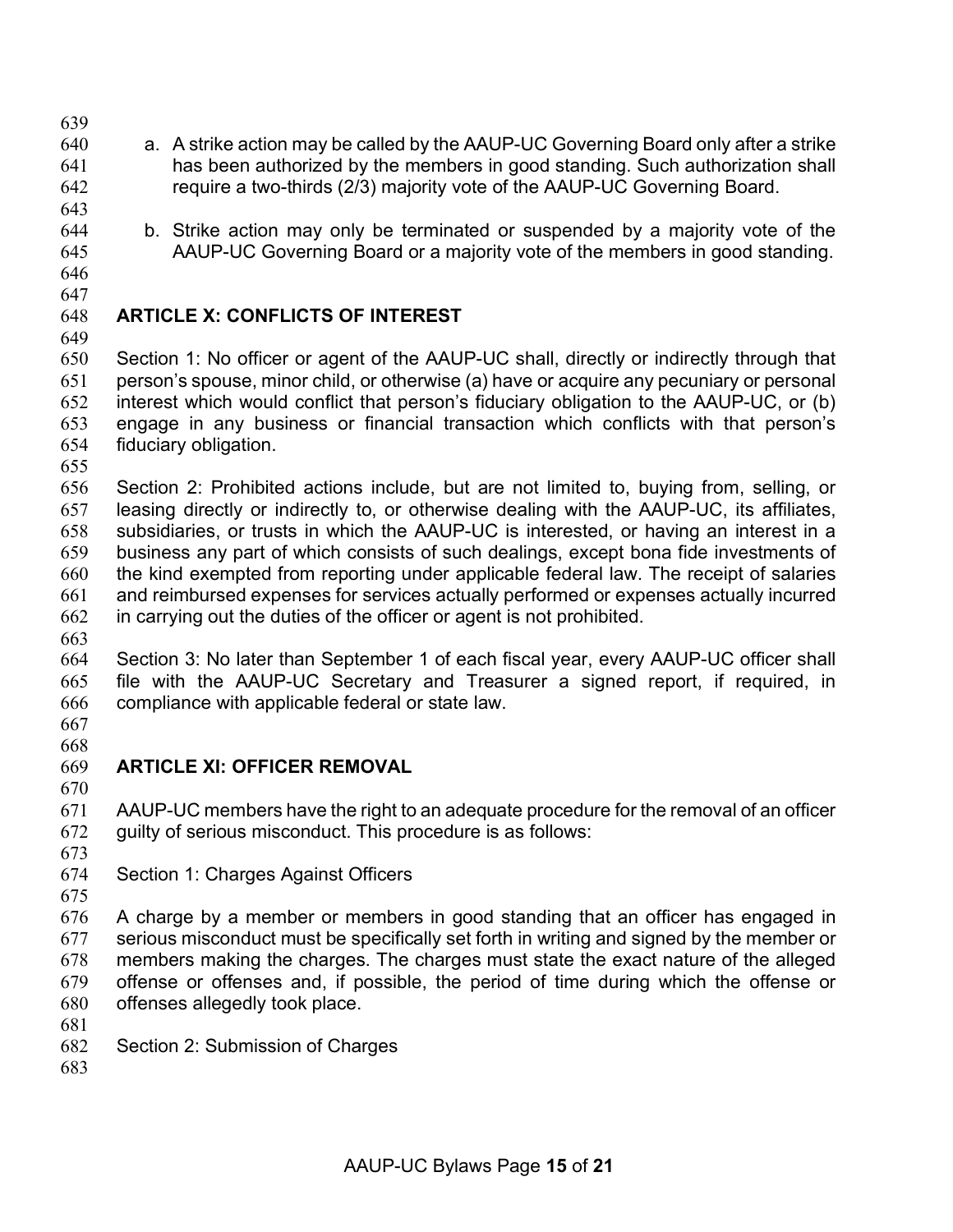- 
- a. A strike action may be called by the AAUP-UC Governing Board only after a strike has been authorized by the members in good standing. Such authorization shall require a two-thirds (2/3) majority vote of the AAUP-UC Governing Board.
- 
- b. Strike action may only be terminated or suspended by a majority vote of the
- AAUP-UC Governing Board or a majority vote of the members in good standing.
- 
- 

### **ARTICLE X: CONFLICTS OF INTEREST**

 Section 1: No officer or agent of the AAUP-UC shall, directly or indirectly through that person's spouse, minor child, or otherwise (a) have or acquire any pecuniary or personal interest which would conflict that person's fiduciary obligation to the AAUP-UC, or (b) engage in any business or financial transaction which conflicts with that person's fiduciary obligation.

 Section 2: Prohibited actions include, but are not limited to, buying from, selling, or leasing directly or indirectly to, or otherwise dealing with the AAUP-UC, its affiliates, subsidiaries, or trusts in which the AAUP-UC is interested, or having an interest in a business any part of which consists of such dealings, except bona fide investments of the kind exempted from reporting under applicable federal law. The receipt of salaries and reimbursed expenses for services actually performed or expenses actually incurred in carrying out the duties of the officer or agent is not prohibited.

 Section 3: No later than September 1 of each fiscal year, every AAUP-UC officer shall file with the AAUP-UC Secretary and Treasurer a signed report, if required, in compliance with applicable federal or state law.

 

## **ARTICLE XI: OFFICER REMOVAL**

 AAUP-UC members have the right to an adequate procedure for the removal of an officer guilty of serious misconduct. This procedure is as follows:

- 
- Section 1: Charges Against Officers
- 

 A charge by a member or members in good standing that an officer has engaged in serious misconduct must be specifically set forth in writing and signed by the member or members making the charges. The charges must state the exact nature of the alleged offense or offenses and, if possible, the period of time during which the offense or offenses allegedly took place.

- 
- Section 2: Submission of Charges
-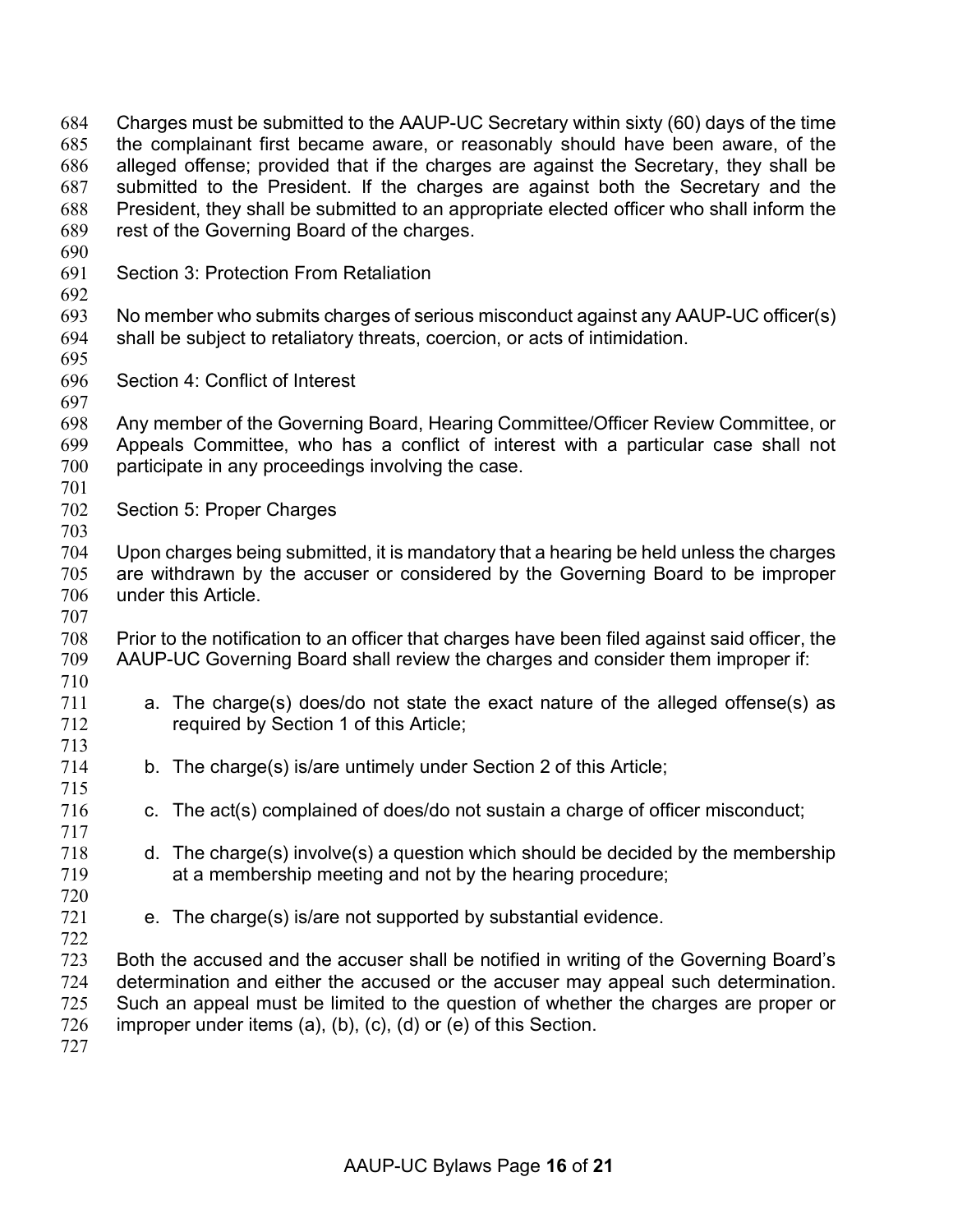President, they shall be submitted to an appropriate elected officer who shall inform the rest of the Governing Board of the charges. Section 3: Protection From Retaliation No member who submits charges of serious misconduct against any AAUP-UC officer(s) shall be subject to retaliatory threats, coercion, or acts of intimidation. Section 4: Conflict of Interest Any member of the Governing Board, Hearing Committee/Officer Review Committee, or Appeals Committee, who has a conflict of interest with a particular case shall not participate in any proceedings involving the case. Section 5: Proper Charges Upon charges being submitted, it is mandatory that a hearing be held unless the charges are withdrawn by the accuser or considered by the Governing Board to be improper under this Article. Prior to the notification to an officer that charges have been filed against said officer, the AAUP-UC Governing Board shall review the charges and consider them improper if: a. The charge(s) does/do not state the exact nature of the alleged offense(s) as required by Section 1 of this Article; b. The charge(s) is/are untimely under Section 2 of this Article; c. The act(s) complained of does/do not sustain a charge of officer misconduct; d. The charge(s) involve(s) a question which should be decided by the membership at a membership meeting and not by the hearing procedure; e. The charge(s) is/are not supported by substantial evidence. Both the accused and the accuser shall be notified in writing of the Governing Board's determination and either the accused or the accuser may appeal such determination. Such an appeal must be limited to the question of whether the charges are proper or 726 improper under items (a), (b), (c), (d) or (e) of this Section. 

 Charges must be submitted to the AAUP-UC Secretary within sixty (60) days of the time the complainant first became aware, or reasonably should have been aware, of the alleged offense; provided that if the charges are against the Secretary, they shall be submitted to the President. If the charges are against both the Secretary and the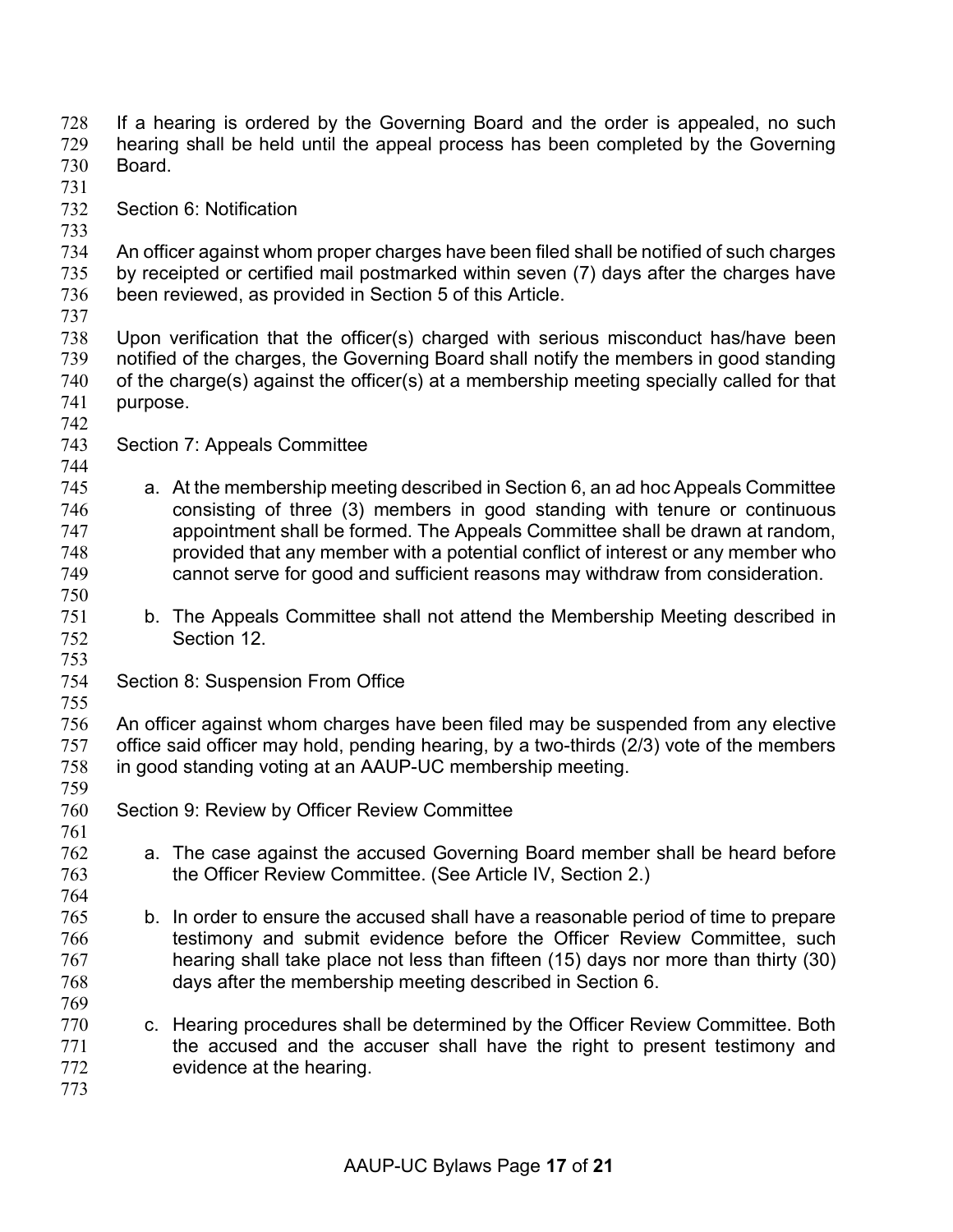- If a hearing is ordered by the Governing Board and the order is appealed, no such hearing shall be held until the appeal process has been completed by the Governing Board.
- 
- Section 6: Notification
- An officer against whom proper charges have been filed shall be notified of such charges by receipted or certified mail postmarked within seven (7) days after the charges have been reviewed, as provided in Section 5 of this Article.
- 
- Upon verification that the officer(s) charged with serious misconduct has/have been notified of the charges, the Governing Board shall notify the members in good standing of the charge(s) against the officer(s) at a membership meeting specially called for that purpose.
- 

- Section 7: Appeals Committee
- a. At the membership meeting described in Section 6, an ad hoc Appeals Committee consisting of three (3) members in good standing with tenure or continuous appointment shall be formed. The Appeals Committee shall be drawn at random, provided that any member with a potential conflict of interest or any member who cannot serve for good and sufficient reasons may withdraw from consideration.
- b. The Appeals Committee shall not attend the Membership Meeting described in Section 12.
- Section 8: Suspension From Office
- 

 An officer against whom charges have been filed may be suspended from any elective office said officer may hold, pending hearing, by a two-thirds (2/3) vote of the members in good standing voting at an AAUP-UC membership meeting. 

- Section 9: Review by Officer Review Committee
- a. The case against the accused Governing Board member shall be heard before the Officer Review Committee. (See Article IV, Section 2.)
- b. In order to ensure the accused shall have a reasonable period of time to prepare testimony and submit evidence before the Officer Review Committee, such hearing shall take place not less than fifteen (15) days nor more than thirty (30) days after the membership meeting described in Section 6.
- c. Hearing procedures shall be determined by the Officer Review Committee. Both the accused and the accuser shall have the right to present testimony and evidence at the hearing.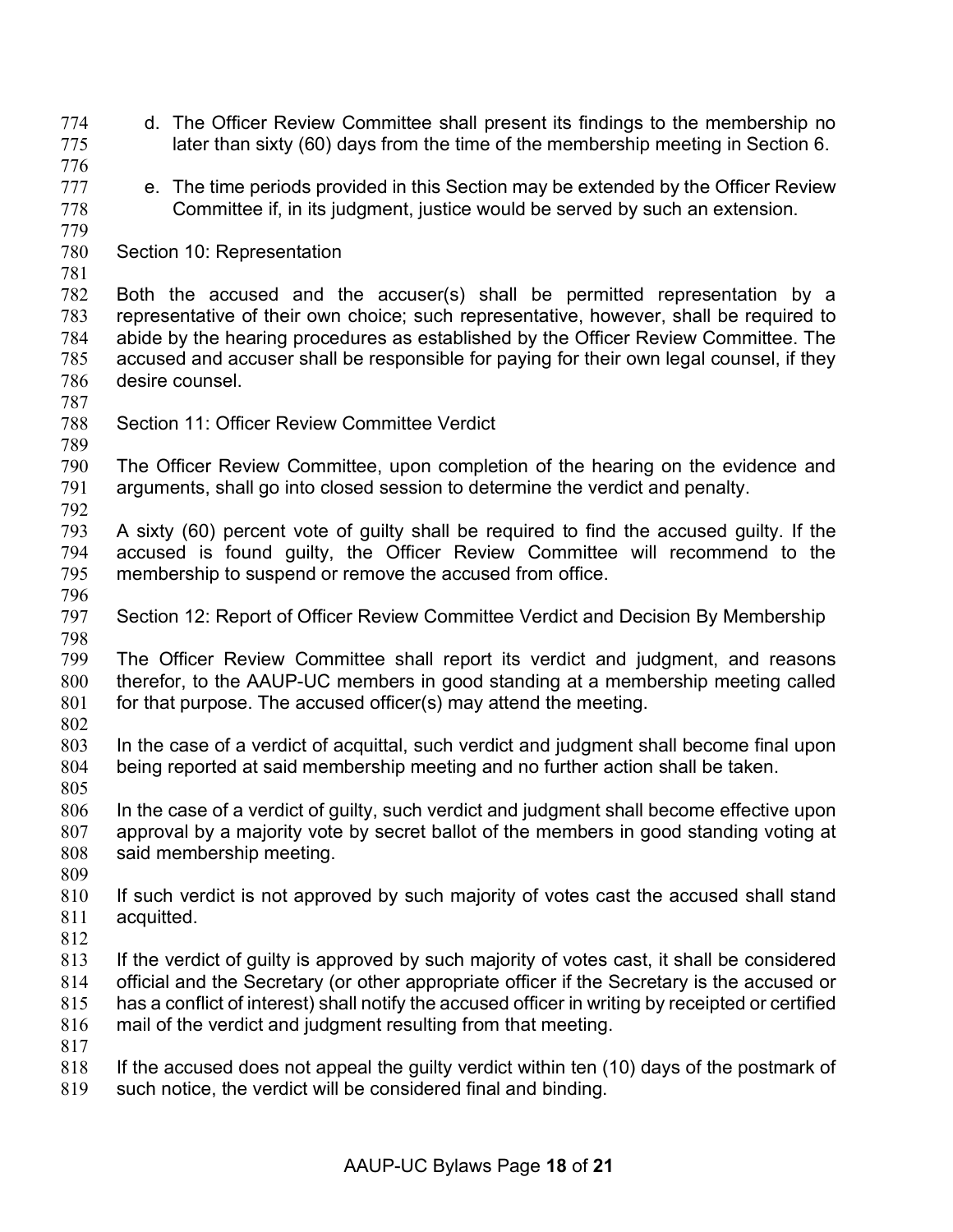- d. The Officer Review Committee shall present its findings to the membership no later than sixty (60) days from the time of the membership meeting in Section 6.
- 
- 777 e. The time periods provided in this Section may be extended by the Officer Review Committee if, in its judgment, justice would be served by such an extension.
- Section 10: Representation

 Both the accused and the accuser(s) shall be permitted representation by a representative of their own choice; such representative, however, shall be required to abide by the hearing procedures as established by the Officer Review Committee. The accused and accuser shall be responsible for paying for their own legal counsel, if they desire counsel.

Section 11: Officer Review Committee Verdict

 The Officer Review Committee, upon completion of the hearing on the evidence and arguments, shall go into closed session to determine the verdict and penalty. 

- A sixty (60) percent vote of guilty shall be required to find the accused guilty. If the accused is found guilty, the Officer Review Committee will recommend to the membership to suspend or remove the accused from office.
- 
- Section 12: Report of Officer Review Committee Verdict and Decision By Membership

 The Officer Review Committee shall report its verdict and judgment, and reasons therefor, to the AAUP-UC members in good standing at a membership meeting called 801 for that purpose. The accused officer(s) may attend the meeting.

- 
- In the case of a verdict of acquittal, such verdict and judgment shall become final upon being reported at said membership meeting and no further action shall be taken.
- In the case of a verdict of guilty, such verdict and judgment shall become effective upon approval by a majority vote by secret ballot of the members in good standing voting at said membership meeting.
- 
- If such verdict is not approved by such majority of votes cast the accused shall stand acquitted.
- 
- If the verdict of guilty is approved by such majority of votes cast, it shall be considered official and the Secretary (or other appropriate officer if the Secretary is the accused or has a conflict of interest) shall notify the accused officer in writing by receipted or certified mail of the verdict and judgment resulting from that meeting.
- 
- 818 If the accused does not appeal the guilty verdict within ten (10) days of the postmark of
- such notice, the verdict will be considered final and binding.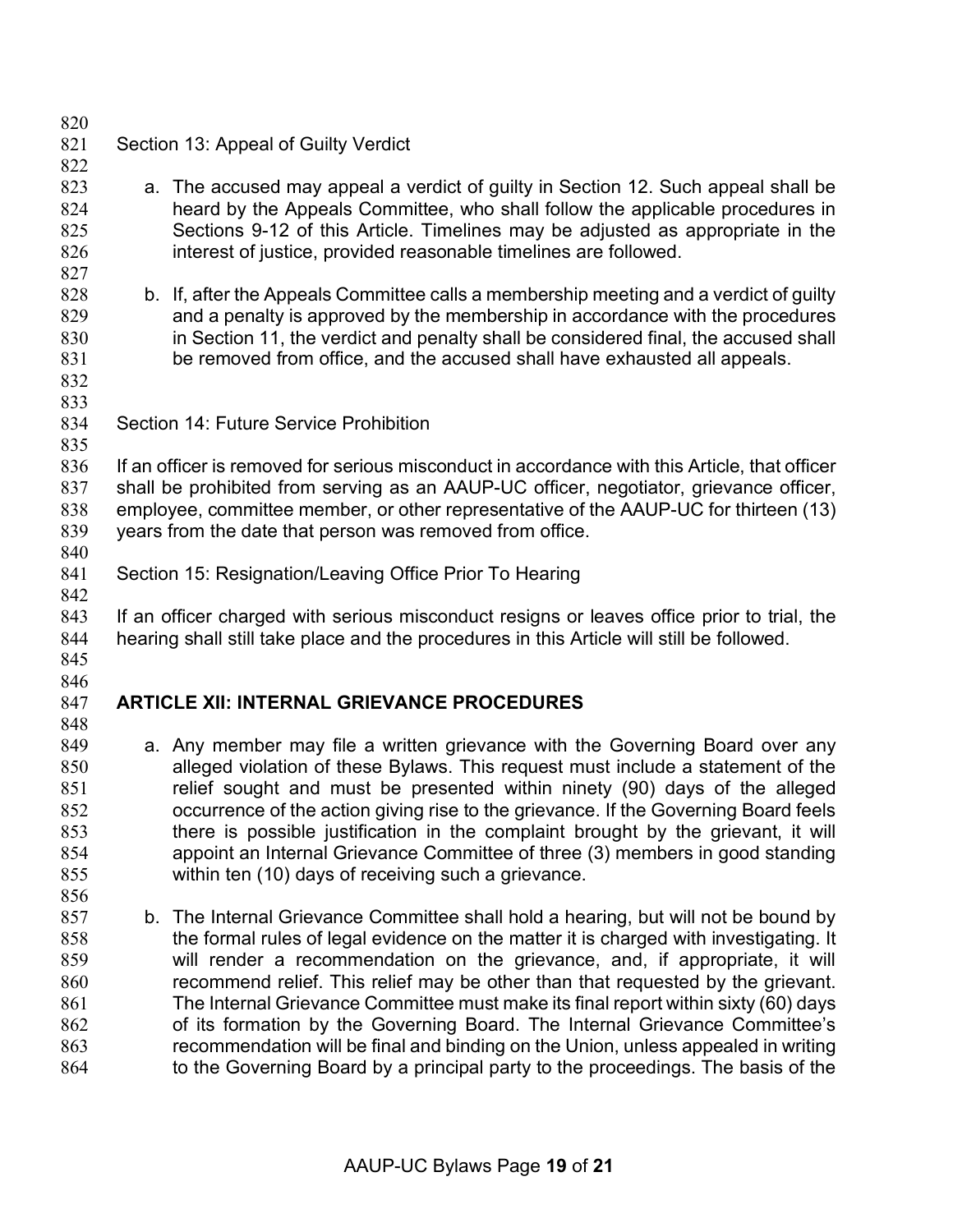Section 13: Appeal of Guilty Verdict a. The accused may appeal a verdict of guilty in Section 12. Such appeal shall be heard by the Appeals Committee, who shall follow the applicable procedures in Sections 9-12 of this Article. Timelines may be adjusted as appropriate in the interest of justice, provided reasonable timelines are followed. b. If, after the Appeals Committee calls a membership meeting and a verdict of guilty and a penalty is approved by the membership in accordance with the procedures in Section 11, the verdict and penalty shall be considered final, the accused shall be removed from office, and the accused shall have exhausted all appeals. Section 14: Future Service Prohibition If an officer is removed for serious misconduct in accordance with this Article, that officer shall be prohibited from serving as an AAUP-UC officer, negotiator, grievance officer, employee, committee member, or other representative of the AAUP-UC for thirteen (13) years from the date that person was removed from office. Section 15: Resignation/Leaving Office Prior To Hearing If an officer charged with serious misconduct resigns or leaves office prior to trial, the hearing shall still take place and the procedures in this Article will still be followed. **ARTICLE XII: INTERNAL GRIEVANCE PROCEDURES** 849 a. Any member may file a written grievance with the Governing Board over any alleged violation of these Bylaws. This request must include a statement of the relief sought and must be presented within ninety (90) days of the alleged occurrence of the action giving rise to the grievance. If the Governing Board feels there is possible justification in the complaint brought by the grievant, it will appoint an Internal Grievance Committee of three (3) members in good standing within ten (10) days of receiving such a grievance. b. The Internal Grievance Committee shall hold a hearing, but will not be bound by the formal rules of legal evidence on the matter it is charged with investigating. It will render a recommendation on the grievance, and, if appropriate, it will recommend relief. This relief may be other than that requested by the grievant. The Internal Grievance Committee must make its final report within sixty (60) days of its formation by the Governing Board. The Internal Grievance Committee's

 recommendation will be final and binding on the Union, unless appealed in writing to the Governing Board by a principal party to the proceedings. The basis of the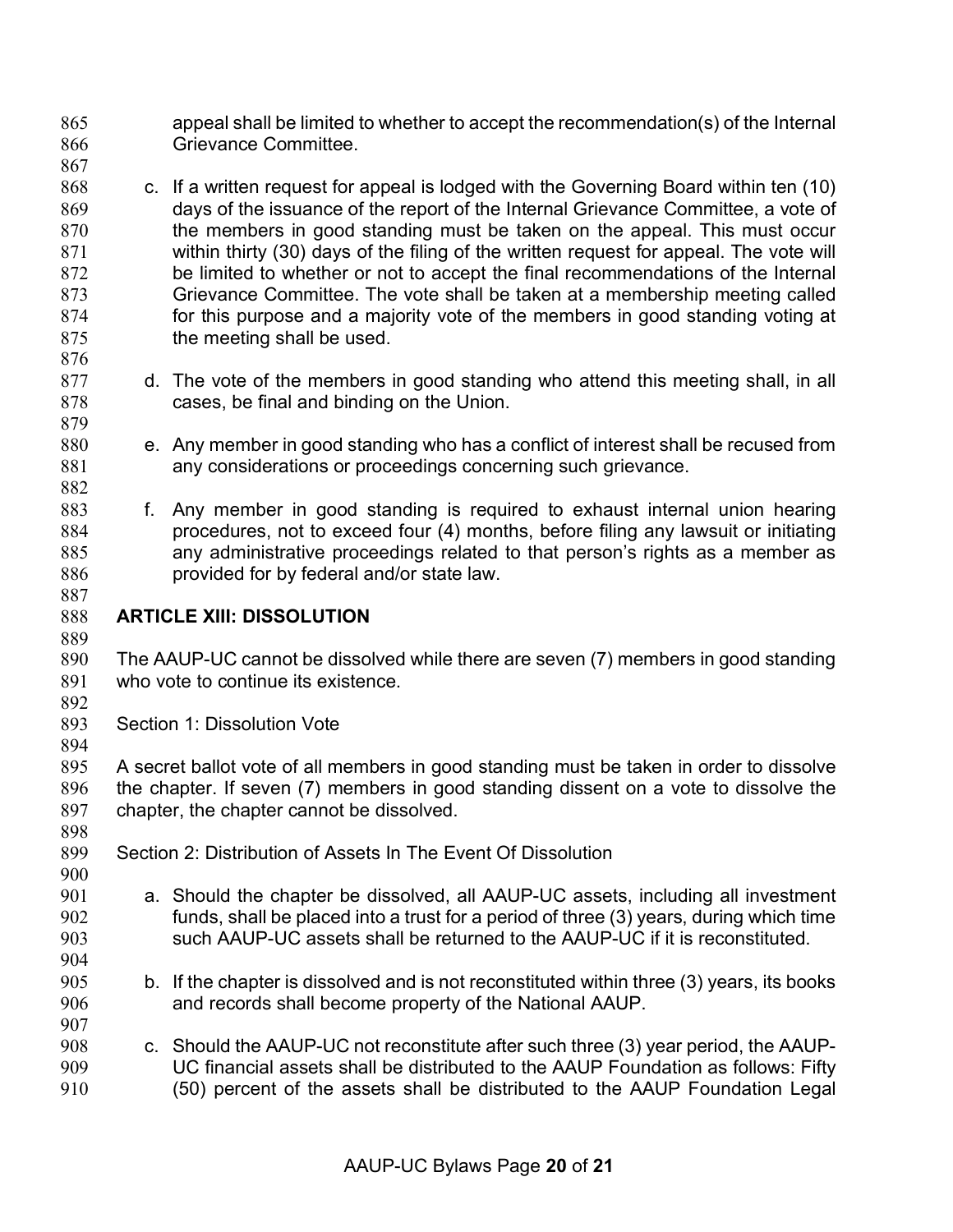- appeal shall be limited to whether to accept the recommendation(s) of the Internal Grievance Committee.
- 868 c. If a written request for appeal is lodged with the Governing Board within ten (10) days of the issuance of the report of the Internal Grievance Committee, a vote of 870 the members in good standing must be taken on the appeal. This must occur within thirty (30) days of the filing of the written request for appeal. The vote will be limited to whether or not to accept the final recommendations of the Internal Grievance Committee. The vote shall be taken at a membership meeting called 874 for this purpose and a majority vote of the members in good standing voting at 875 the meeting shall be used.
- d. The vote of the members in good standing who attend this meeting shall, in all cases, be final and binding on the Union.
- e. Any member in good standing who has a conflict of interest shall be recused from any considerations or proceedings concerning such grievance.
- f. Any member in good standing is required to exhaust internal union hearing procedures, not to exceed four (4) months, before filing any lawsuit or initiating any administrative proceedings related to that person's rights as a member as provided for by federal and/or state law.
- **ARTICLE XIII: DISSOLUTION**

 The AAUP-UC cannot be dissolved while there are seven (7) members in good standing who vote to continue its existence.

Section 1: Dissolution Vote

 A secret ballot vote of all members in good standing must be taken in order to dissolve the chapter. If seven (7) members in good standing dissent on a vote to dissolve the chapter, the chapter cannot be dissolved. 

- Section 2: Distribution of Assets In The Event Of Dissolution
- a. Should the chapter be dissolved, all AAUP-UC assets, including all investment funds, shall be placed into a trust for a period of three (3) years, during which time such AAUP-UC assets shall be returned to the AAUP-UC if it is reconstituted.
- b. If the chapter is dissolved and is not reconstituted within three (3) years, its books and records shall become property of the National AAUP.
- c. Should the AAUP-UC not reconstitute after such three (3) year period, the AAUP- UC financial assets shall be distributed to the AAUP Foundation as follows: Fifty (50) percent of the assets shall be distributed to the AAUP Foundation Legal